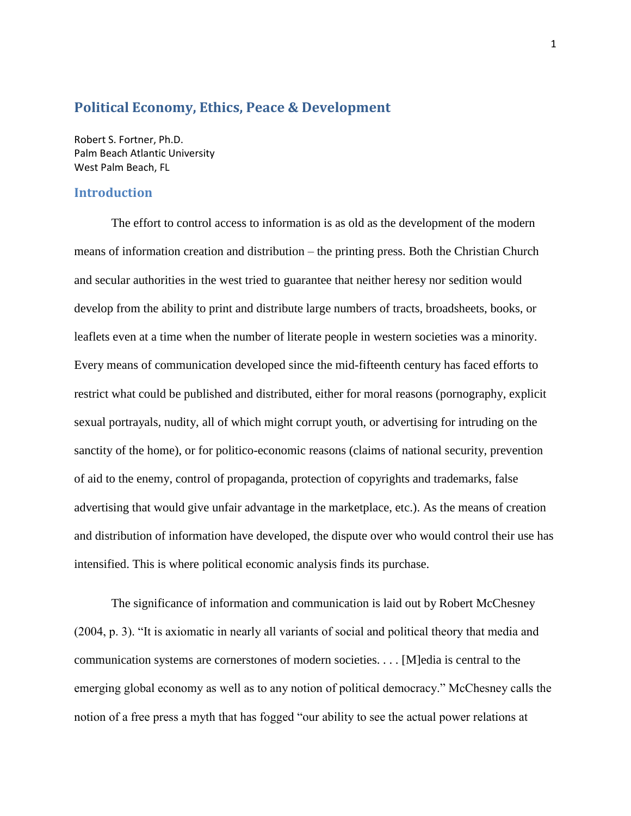## **Political Economy, Ethics, Peace & Development**

Robert S. Fortner, Ph.D. Palm Beach Atlantic University West Palm Beach, FL

## **Introduction**

The effort to control access to information is as old as the development of the modern means of information creation and distribution – the printing press. Both the Christian Church and secular authorities in the west tried to guarantee that neither heresy nor sedition would develop from the ability to print and distribute large numbers of tracts, broadsheets, books, or leaflets even at a time when the number of literate people in western societies was a minority. Every means of communication developed since the mid-fifteenth century has faced efforts to restrict what could be published and distributed, either for moral reasons (pornography, explicit sexual portrayals, nudity, all of which might corrupt youth, or advertising for intruding on the sanctity of the home), or for politico-economic reasons (claims of national security, prevention of aid to the enemy, control of propaganda, protection of copyrights and trademarks, false advertising that would give unfair advantage in the marketplace, etc.). As the means of creation and distribution of information have developed, the dispute over who would control their use has intensified. This is where political economic analysis finds its purchase.

The significance of information and communication is laid out by Robert McChesney (2004, p. 3). "It is axiomatic in nearly all variants of social and political theory that media and communication systems are cornerstones of modern societies. . . . [M]edia is central to the emerging global economy as well as to any notion of political democracy." McChesney calls the notion of a free press a myth that has fogged "our ability to see the actual power relations at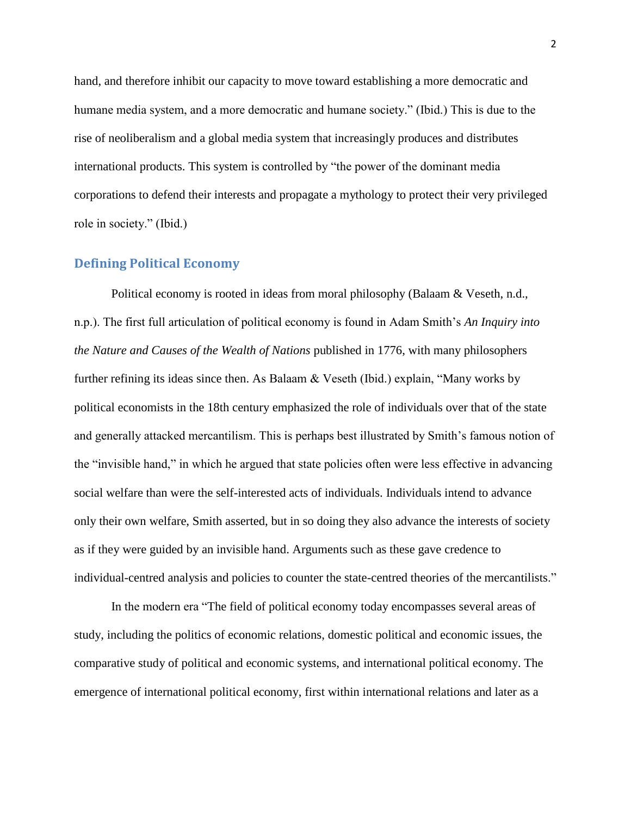hand, and therefore inhibit our capacity to move toward establishing a more democratic and humane media system, and a more democratic and humane society." (Ibid.) This is due to the rise of neoliberalism and a global media system that increasingly produces and distributes international products. This system is controlled by "the power of the dominant media corporations to defend their interests and propagate a mythology to protect their very privileged role in society." (Ibid.)

### **Defining Political Economy**

Political economy is rooted in ideas from moral philosophy (Balaam & Veseth, n.d., n.p.). The first full articulation of political economy is found in Adam Smith's *An Inquiry into the Nature and Causes of the Wealth of Nations* published in 1776, with many philosophers further refining its ideas since then. As Balaam & Veseth (Ibid.) explain, "Many works by political economists in the 18th century emphasized the role of individuals over that of the state and generally attacked mercantilism. This is perhaps best illustrated by Smith's famous notion of the "invisible hand," in which he argued that state policies often were less effective in advancing social welfare than were the self-interested acts of individuals. Individuals intend to advance only their own welfare, Smith asserted, but in so doing they also advance the interests of society as if they were guided by an invisible hand. Arguments such as these gave credence to individual-centred analysis and policies to counter the state-centred theories of the mercantilists."

In the modern era "The field of political economy today encompasses several areas of study, including the politics of economic relations, domestic political and economic issues, the comparative study of political and economic systems, and international political economy. The emergence of international political economy, first within international relations and later as a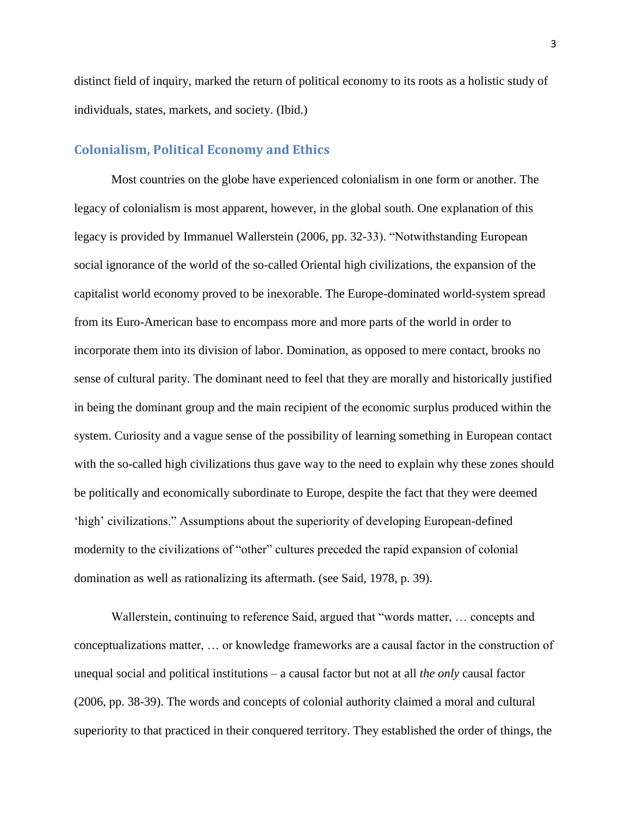distinct field of inquiry, marked the return of political economy to its roots as a holistic study of individuals, states, markets, and society. (Ibid.)

### **Colonialism, Political Economy and Ethics**

Most countries on the globe have experienced colonialism in one form or another. The legacy of colonialism is most apparent, however, in the global south. One explanation of this legacy is provided by Immanuel Wallerstein (2006, pp. 32-33). "Notwithstanding European social ignorance of the world of the so-called Oriental high civilizations, the expansion of the capitalist world economy proved to be inexorable. The Europe-dominated world-system spread from its Euro-American base to encompass more and more parts of the world in order to incorporate them into its division of labor. Domination, as opposed to mere contact, brooks no sense of cultural parity. The dominant need to feel that they are morally and historically justified in being the dominant group and the main recipient of the economic surplus produced within the system. Curiosity and a vague sense of the possibility of learning something in European contact with the so-called high civilizations thus gave way to the need to explain why these zones should be politically and economically subordinate to Europe, despite the fact that they were deemed 'high' civilizations." Assumptions about the superiority of developing European-defined modernity to the civilizations of "other" cultures preceded the rapid expansion of colonial domination as well as rationalizing its aftermath. (see Said, 1978, p. 39).

Wallerstein, continuing to reference Said, argued that "words matter, … concepts and conceptualizations matter, … or knowledge frameworks are a causal factor in the construction of unequal social and political institutions – a causal factor but not at all *the only* causal factor (2006, pp. 38-39). The words and concepts of colonial authority claimed a moral and cultural superiority to that practiced in their conquered territory. They established the order of things, the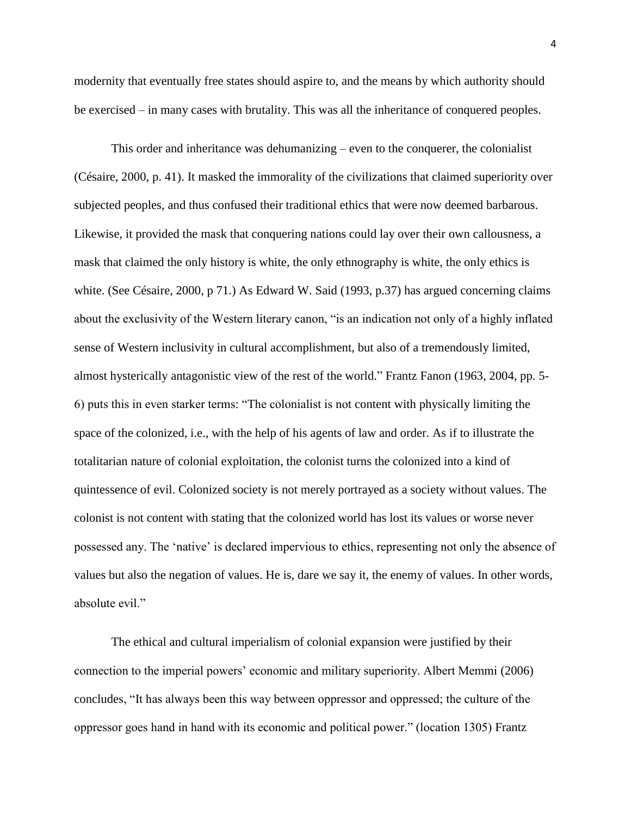modernity that eventually free states should aspire to, and the means by which authority should be exercised – in many cases with brutality. This was all the inheritance of conquered peoples.

This order and inheritance was dehumanizing  $-$  even to the conquerer, the colonialist (Césaire, 2000, p. 41). It masked the immorality of the civilizations that claimed superiority over subjected peoples, and thus confused their traditional ethics that were now deemed barbarous. Likewise, it provided the mask that conquering nations could lay over their own callousness, a mask that claimed the only history is white, the only ethnography is white, the only ethics is white. (See Césaire, 2000, p 71.) As Edward W. Said (1993, p.37) has argued concerning claims about the exclusivity of the Western literary canon, "is an indication not only of a highly inflated sense of Western inclusivity in cultural accomplishment, but also of a tremendously limited, almost hysterically antagonistic view of the rest of the world." Frantz Fanon (1963, 2004, pp. 5- 6) puts this in even starker terms: "The colonialist is not content with physically limiting the space of the colonized, i.e., with the help of his agents of law and order. As if to illustrate the totalitarian nature of colonial exploitation, the colonist turns the colonized into a kind of quintessence of evil. Colonized society is not merely portrayed as a society without values. The colonist is not content with stating that the colonized world has lost its values or worse never possessed any. The 'native' is declared impervious to ethics, representing not only the absence of values but also the negation of values. He is, dare we say it, the enemy of values. In other words, absolute evil."

The ethical and cultural imperialism of colonial expansion were justified by their connection to the imperial powers' economic and military superiority. Albert Memmi (2006) concludes, "It has always been this way between oppressor and oppressed; the culture of the oppressor goes hand in hand with its economic and political power." (location 1305) Frantz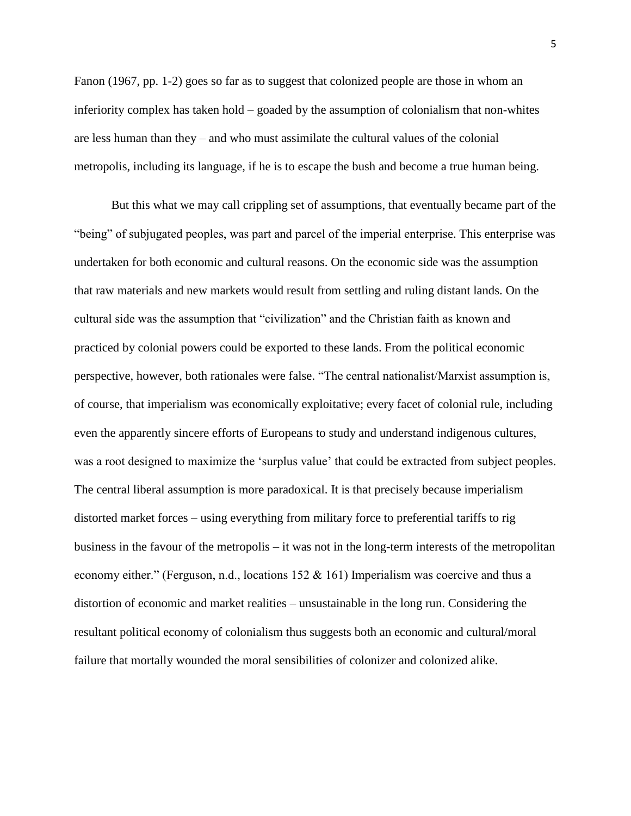Fanon (1967, pp. 1-2) goes so far as to suggest that colonized people are those in whom an inferiority complex has taken hold – goaded by the assumption of colonialism that non-whites are less human than they – and who must assimilate the cultural values of the colonial metropolis, including its language, if he is to escape the bush and become a true human being.

But this what we may call crippling set of assumptions, that eventually became part of the "being" of subjugated peoples, was part and parcel of the imperial enterprise. This enterprise was undertaken for both economic and cultural reasons. On the economic side was the assumption that raw materials and new markets would result from settling and ruling distant lands. On the cultural side was the assumption that "civilization" and the Christian faith as known and practiced by colonial powers could be exported to these lands. From the political economic perspective, however, both rationales were false. "The central nationalist/Marxist assumption is, of course, that imperialism was economically exploitative; every facet of colonial rule, including even the apparently sincere efforts of Europeans to study and understand indigenous cultures, was a root designed to maximize the 'surplus value' that could be extracted from subject peoples. The central liberal assumption is more paradoxical. It is that precisely because imperialism distorted market forces – using everything from military force to preferential tariffs to rig business in the favour of the metropolis – it was not in the long-term interests of the metropolitan economy either." (Ferguson, n.d., locations 152 & 161) Imperialism was coercive and thus a distortion of economic and market realities – unsustainable in the long run. Considering the resultant political economy of colonialism thus suggests both an economic and cultural/moral failure that mortally wounded the moral sensibilities of colonizer and colonized alike.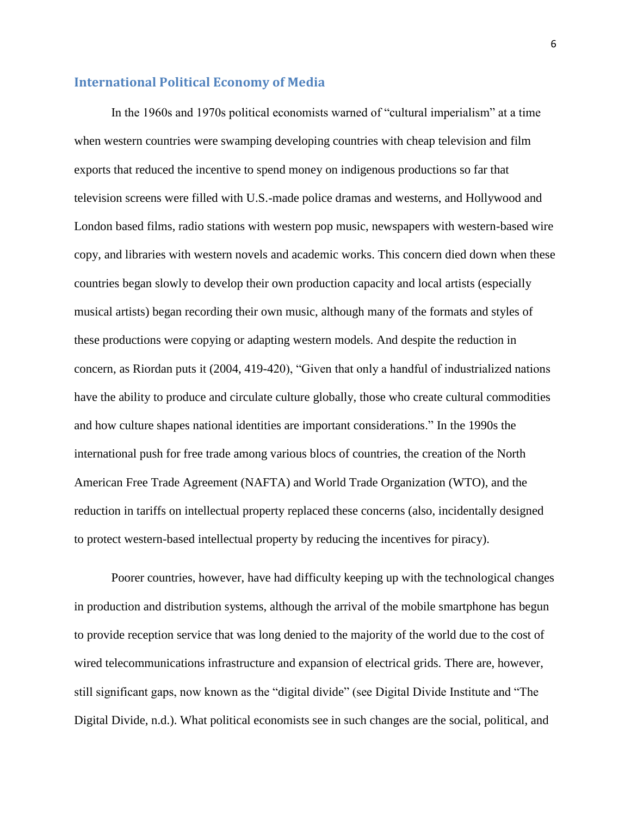#### **International Political Economy of Media**

In the 1960s and 1970s political economists warned of "cultural imperialism" at a time when western countries were swamping developing countries with cheap television and film exports that reduced the incentive to spend money on indigenous productions so far that television screens were filled with U.S.-made police dramas and westerns, and Hollywood and London based films, radio stations with western pop music, newspapers with western-based wire copy, and libraries with western novels and academic works. This concern died down when these countries began slowly to develop their own production capacity and local artists (especially musical artists) began recording their own music, although many of the formats and styles of these productions were copying or adapting western models. And despite the reduction in concern, as Riordan puts it (2004, 419-420), "Given that only a handful of industrialized nations have the ability to produce and circulate culture globally, those who create cultural commodities and how culture shapes national identities are important considerations." In the 1990s the international push for free trade among various blocs of countries, the creation of the North American Free Trade Agreement (NAFTA) and World Trade Organization (WTO), and the reduction in tariffs on intellectual property replaced these concerns (also, incidentally designed to protect western-based intellectual property by reducing the incentives for piracy).

Poorer countries, however, have had difficulty keeping up with the technological changes in production and distribution systems, although the arrival of the mobile smartphone has begun to provide reception service that was long denied to the majority of the world due to the cost of wired telecommunications infrastructure and expansion of electrical grids. There are, however, still significant gaps, now known as the "digital divide" (see Digital Divide Institute and "The Digital Divide, n.d.). What political economists see in such changes are the social, political, and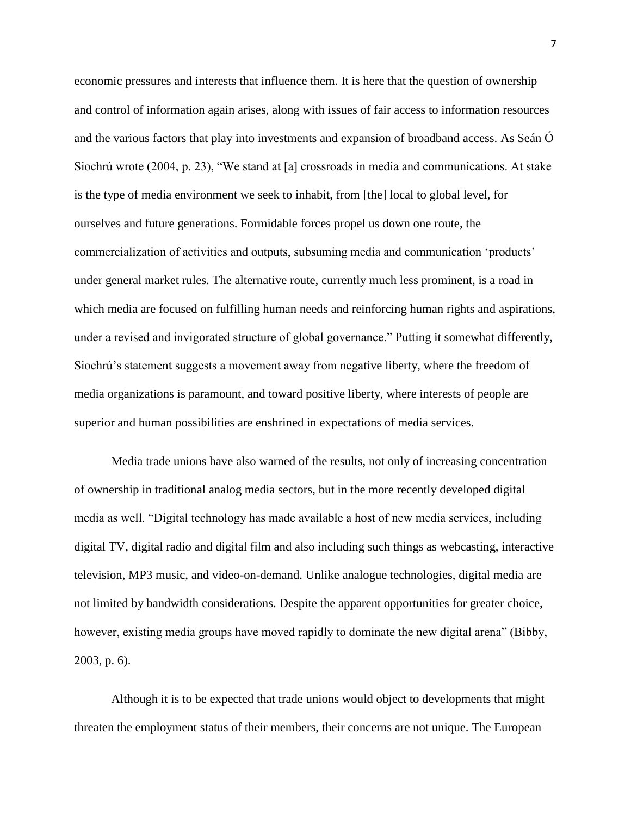economic pressures and interests that influence them. It is here that the question of ownership and control of information again arises, along with issues of fair access to information resources and the various factors that play into investments and expansion of broadband access. As Seán Ó Siochrú wrote (2004, p. 23), "We stand at [a] crossroads in media and communications. At stake is the type of media environment we seek to inhabit, from [the] local to global level, for ourselves and future generations. Formidable forces propel us down one route, the commercialization of activities and outputs, subsuming media and communication 'products' under general market rules. The alternative route, currently much less prominent, is a road in which media are focused on fulfilling human needs and reinforcing human rights and aspirations, under a revised and invigorated structure of global governance." Putting it somewhat differently, Siochrú's statement suggests a movement away from negative liberty, where the freedom of media organizations is paramount, and toward positive liberty, where interests of people are superior and human possibilities are enshrined in expectations of media services.

Media trade unions have also warned of the results, not only of increasing concentration of ownership in traditional analog media sectors, but in the more recently developed digital media as well. "Digital technology has made available a host of new media services, including digital TV, digital radio and digital film and also including such things as webcasting, interactive television, MP3 music, and video-on-demand. Unlike analogue technologies, digital media are not limited by bandwidth considerations. Despite the apparent opportunities for greater choice, however, existing media groups have moved rapidly to dominate the new digital arena" (Bibby, 2003, p. 6).

Although it is to be expected that trade unions would object to developments that might threaten the employment status of their members, their concerns are not unique. The European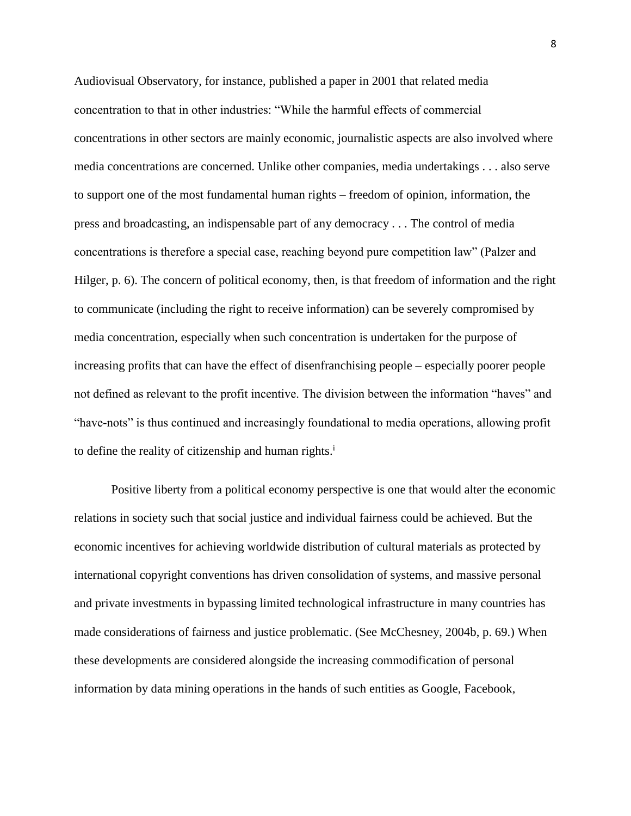Audiovisual Observatory, for instance, published a paper in 2001 that related media concentration to that in other industries: "While the harmful effects of commercial concentrations in other sectors are mainly economic, journalistic aspects are also involved where media concentrations are concerned. Unlike other companies, media undertakings . . . also serve to support one of the most fundamental human rights – freedom of opinion, information, the press and broadcasting, an indispensable part of any democracy . . . The control of media concentrations is therefore a special case, reaching beyond pure competition law" (Palzer and Hilger, p. 6). The concern of political economy, then, is that freedom of information and the right to communicate (including the right to receive information) can be severely compromised by media concentration, especially when such concentration is undertaken for the purpose of increasing profits that can have the effect of disenfranchising people – especially poorer people not defined as relevant to the profit incentive. The division between the information "haves" and "have-nots" is thus continued and increasingly foundational to media operations, allowing profit to define the reality of citizenship and human rights.<sup>i</sup>

Positive liberty from a political economy perspective is one that would alter the economic relations in society such that social justice and individual fairness could be achieved. But the economic incentives for achieving worldwide distribution of cultural materials as protected by international copyright conventions has driven consolidation of systems, and massive personal and private investments in bypassing limited technological infrastructure in many countries has made considerations of fairness and justice problematic. (See McChesney, 2004b, p. 69.) When these developments are considered alongside the increasing commodification of personal information by data mining operations in the hands of such entities as Google, Facebook,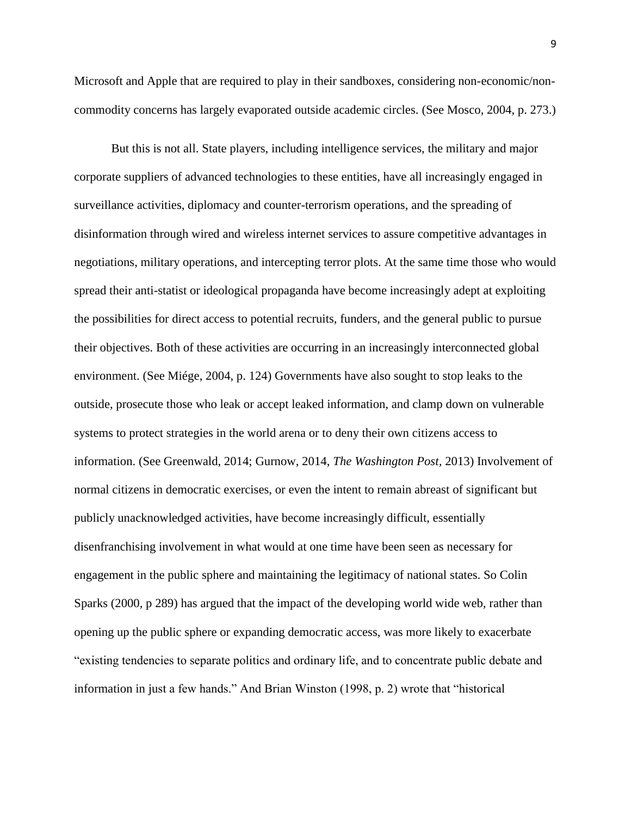Microsoft and Apple that are required to play in their sandboxes, considering non-economic/noncommodity concerns has largely evaporated outside academic circles. (See Mosco, 2004, p. 273.)

But this is not all. State players, including intelligence services, the military and major corporate suppliers of advanced technologies to these entities, have all increasingly engaged in surveillance activities, diplomacy and counter-terrorism operations, and the spreading of disinformation through wired and wireless internet services to assure competitive advantages in negotiations, military operations, and intercepting terror plots. At the same time those who would spread their anti-statist or ideological propaganda have become increasingly adept at exploiting the possibilities for direct access to potential recruits, funders, and the general public to pursue their objectives. Both of these activities are occurring in an increasingly interconnected global environment. (See Miége, 2004, p. 124) Governments have also sought to stop leaks to the outside, prosecute those who leak or accept leaked information, and clamp down on vulnerable systems to protect strategies in the world arena or to deny their own citizens access to information. (See Greenwald, 2014; Gurnow, 2014, *The Washington Post,* 2013) Involvement of normal citizens in democratic exercises, or even the intent to remain abreast of significant but publicly unacknowledged activities, have become increasingly difficult, essentially disenfranchising involvement in what would at one time have been seen as necessary for engagement in the public sphere and maintaining the legitimacy of national states. So Colin Sparks (2000, p 289) has argued that the impact of the developing world wide web, rather than opening up the public sphere or expanding democratic access, was more likely to exacerbate "existing tendencies to separate politics and ordinary life, and to concentrate public debate and information in just a few hands." And Brian Winston (1998, p. 2) wrote that "historical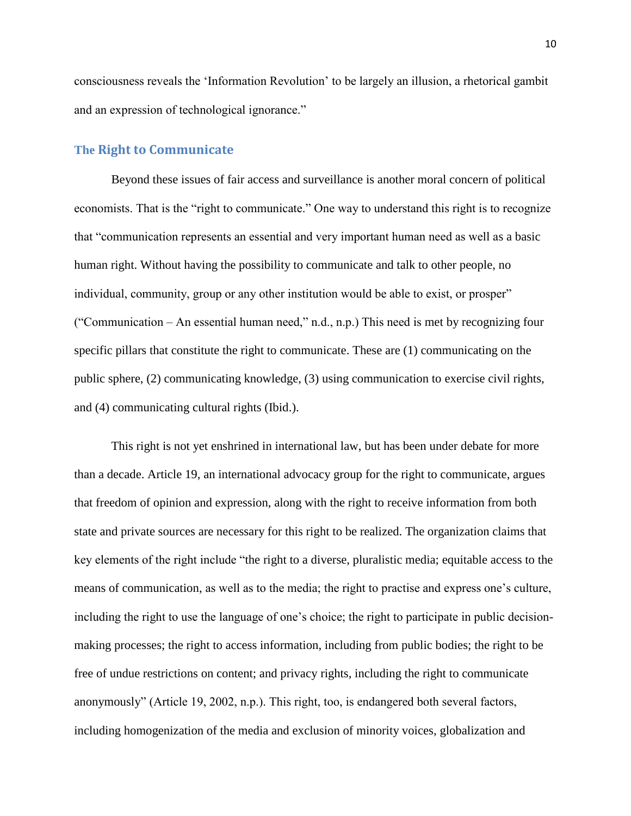consciousness reveals the 'Information Revolution' to be largely an illusion, a rhetorical gambit and an expression of technological ignorance."

# **The Right to Communicate**

Beyond these issues of fair access and surveillance is another moral concern of political economists. That is the "right to communicate." One way to understand this right is to recognize that "communication represents an essential and very important human need as well as a basic human right. Without having the possibility to communicate and talk to other people, no individual, community, group or any other institution would be able to exist, or prosper" ("Communication – An essential human need," n.d., n.p.) This need is met by recognizing four specific pillars that constitute the right to communicate. These are (1) communicating on the public sphere, (2) communicating knowledge, (3) using communication to exercise civil rights, and (4) communicating cultural rights (Ibid.).

This right is not yet enshrined in international law, but has been under debate for more than a decade. Article 19, an international advocacy group for the right to communicate, argues that freedom of opinion and expression, along with the right to receive information from both state and private sources are necessary for this right to be realized. The organization claims that key elements of the right include "the right to a diverse, pluralistic media; equitable access to the means of communication, as well as to the media; the right to practise and express one's culture, including the right to use the language of one's choice; the right to participate in public decisionmaking processes; the right to access information, including from public bodies; the right to be free of undue restrictions on content; and privacy rights, including the right to communicate anonymously" (Article 19, 2002, n.p.). This right, too, is endangered both several factors, including homogenization of the media and exclusion of minority voices, globalization and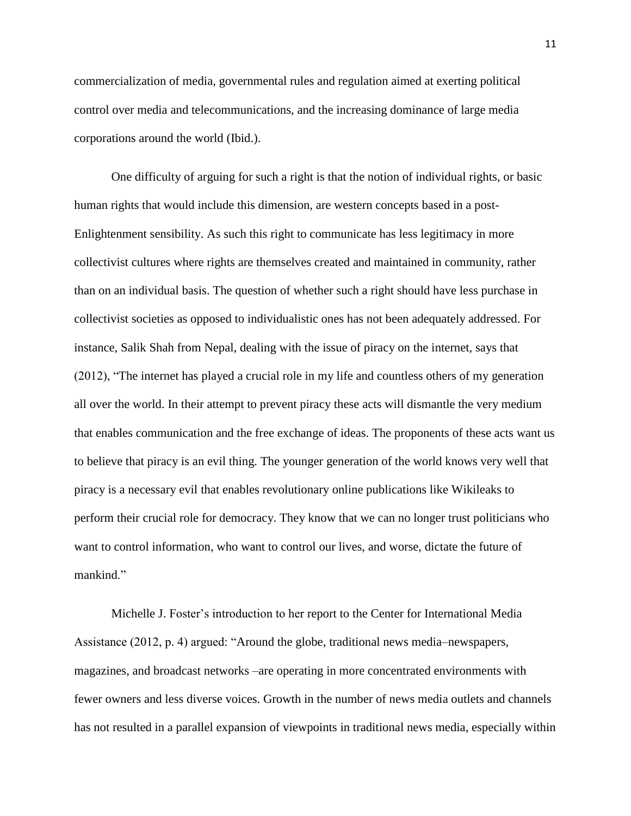commercialization of media, governmental rules and regulation aimed at exerting political control over media and telecommunications, and the increasing dominance of large media corporations around the world (Ibid.).

One difficulty of arguing for such a right is that the notion of individual rights, or basic human rights that would include this dimension, are western concepts based in a post-Enlightenment sensibility. As such this right to communicate has less legitimacy in more collectivist cultures where rights are themselves created and maintained in community, rather than on an individual basis. The question of whether such a right should have less purchase in collectivist societies as opposed to individualistic ones has not been adequately addressed. For instance, Salik Shah from Nepal, dealing with the issue of piracy on the internet, says that (2012), "The internet has played a crucial role in my life and countless others of my generation all over the world. In their attempt to prevent piracy these acts will dismantle the very medium that enables communication and the free exchange of ideas. The proponents of these acts want us to believe that piracy is an evil thing. The younger generation of the world knows very well that piracy is a necessary evil that enables revolutionary online publications like Wikileaks to perform their crucial role for democracy. They know that we can no longer trust politicians who want to control information, who want to control our lives, and worse, dictate the future of mankind."

Michelle J. Foster's introduction to her report to the Center for International Media Assistance (2012, p. 4) argued: "Around the globe, traditional news media–newspapers, magazines, and broadcast networks –are operating in more concentrated environments with fewer owners and less diverse voices. Growth in the number of news media outlets and channels has not resulted in a parallel expansion of viewpoints in traditional news media, especially within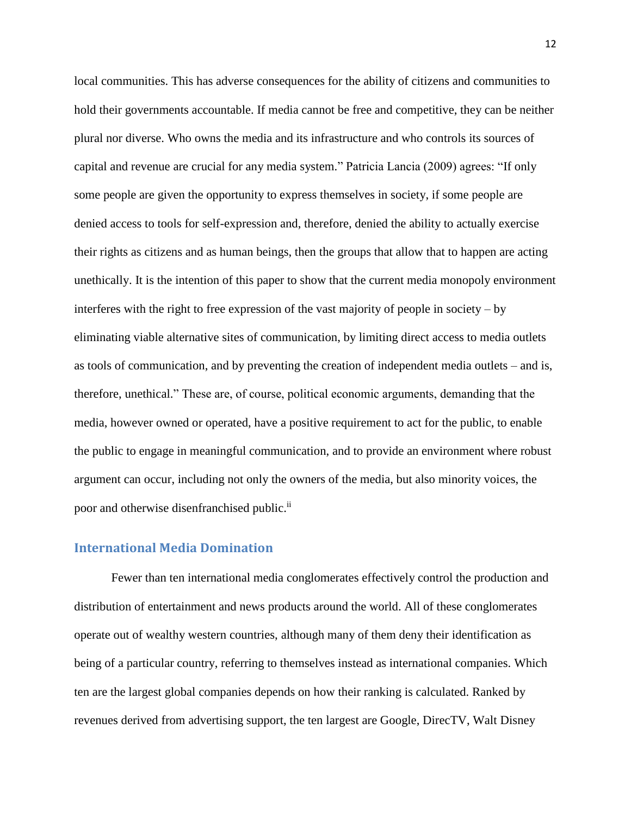local communities. This has adverse consequences for the ability of citizens and communities to hold their governments accountable. If media cannot be free and competitive, they can be neither plural nor diverse. Who owns the media and its infrastructure and who controls its sources of capital and revenue are crucial for any media system." Patricia Lancia (2009) agrees: "If only some people are given the opportunity to express themselves in society, if some people are denied access to tools for self-expression and, therefore, denied the ability to actually exercise their rights as citizens and as human beings, then the groups that allow that to happen are acting unethically. It is the intention of this paper to show that the current media monopoly environment interferes with the right to free expression of the vast majority of people in society – by eliminating viable alternative sites of communication, by limiting direct access to media outlets as tools of communication, and by preventing the creation of independent media outlets – and is, therefore, unethical." These are, of course, political economic arguments, demanding that the media, however owned or operated, have a positive requirement to act for the public, to enable the public to engage in meaningful communication, and to provide an environment where robust argument can occur, including not only the owners of the media, but also minority voices, the poor and otherwise disenfranchised public.<sup>ii</sup>

## **International Media Domination**

Fewer than ten international media conglomerates effectively control the production and distribution of entertainment and news products around the world. All of these conglomerates operate out of wealthy western countries, although many of them deny their identification as being of a particular country, referring to themselves instead as international companies. Which ten are the largest global companies depends on how their ranking is calculated. Ranked by revenues derived from advertising support, the ten largest are Google, DirecTV, Walt Disney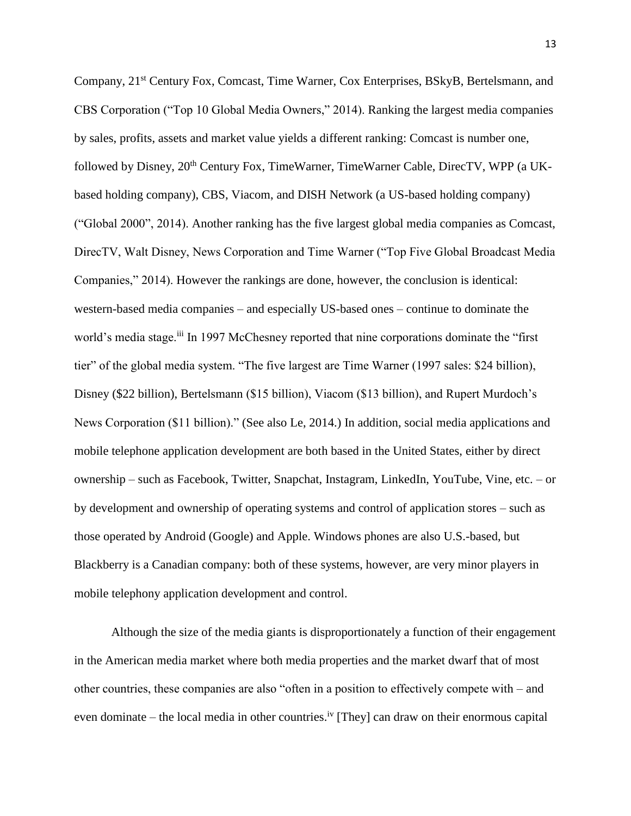Company, 21<sup>st</sup> Century Fox, Comcast, Time Warner, Cox Enterprises, BSkyB, Bertelsmann, and CBS Corporation ("Top 10 Global Media Owners," 2014). Ranking the largest media companies by sales, profits, assets and market value yields a different ranking: Comcast is number one, followed by Disney,  $20<sup>th</sup>$  Century Fox, TimeWarner, TimeWarner Cable, DirecTV, WPP (a UKbased holding company), CBS, Viacom, and DISH Network (a US-based holding company) ("Global 2000", 2014). Another ranking has the five largest global media companies as Comcast, DirecTV, Walt Disney, News Corporation and Time Warner ("Top Five Global Broadcast Media Companies," 2014). However the rankings are done, however, the conclusion is identical: western-based media companies – and especially US-based ones – continue to dominate the world's media stage.<sup>iii</sup> In 1997 McChesney reported that nine corporations dominate the "first tier" of the global media system. "The five largest are Time Warner (1997 sales: \$24 billion), Disney (\$22 billion), Bertelsmann (\$15 billion), Viacom (\$13 billion), and Rupert Murdoch's News Corporation (\$11 billion)." (See also Le, 2014.) In addition, social media applications and mobile telephone application development are both based in the United States, either by direct ownership – such as Facebook, Twitter, Snapchat, Instagram, LinkedIn, YouTube, Vine, etc. – or by development and ownership of operating systems and control of application stores – such as those operated by Android (Google) and Apple. Windows phones are also U.S.-based, but Blackberry is a Canadian company: both of these systems, however, are very minor players in mobile telephony application development and control.

Although the size of the media giants is disproportionately a function of their engagement in the American media market where both media properties and the market dwarf that of most other countries, these companies are also "often in a position to effectively compete with – and even dominate – the local media in other countries.<sup>iv</sup> [They] can draw on their enormous capital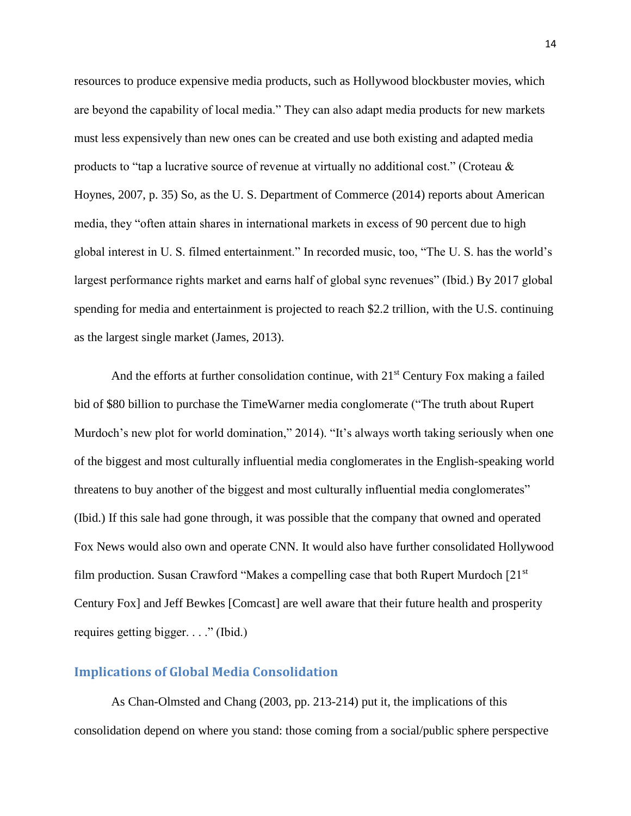resources to produce expensive media products, such as Hollywood blockbuster movies, which are beyond the capability of local media." They can also adapt media products for new markets must less expensively than new ones can be created and use both existing and adapted media products to "tap a lucrative source of revenue at virtually no additional cost." (Croteau & Hoynes, 2007, p. 35) So, as the U. S. Department of Commerce (2014) reports about American media, they "often attain shares in international markets in excess of 90 percent due to high global interest in U. S. filmed entertainment." In recorded music, too, "The U. S. has the world's largest performance rights market and earns half of global sync revenues" (Ibid.) By 2017 global spending for media and entertainment is projected to reach \$2.2 trillion, with the U.S. continuing as the largest single market (James, 2013).

And the efforts at further consolidation continue, with  $21<sup>st</sup>$  Century Fox making a failed bid of \$80 billion to purchase the TimeWarner media conglomerate ("The truth about Rupert Murdoch's new plot for world domination," 2014). "It's always worth taking seriously when one of the biggest and most culturally influential media conglomerates in the English-speaking world threatens to buy another of the biggest and most culturally influential media conglomerates" (Ibid.) If this sale had gone through, it was possible that the company that owned and operated Fox News would also own and operate CNN. It would also have further consolidated Hollywood film production. Susan Crawford "Makes a compelling case that both Rupert Murdoch [21<sup>st</sup>] Century Fox] and Jeff Bewkes [Comcast] are well aware that their future health and prosperity requires getting bigger. . . ." (Ibid.)

# **Implications of Global Media Consolidation**

As Chan-Olmsted and Chang (2003, pp. 213-214) put it, the implications of this consolidation depend on where you stand: those coming from a social/public sphere perspective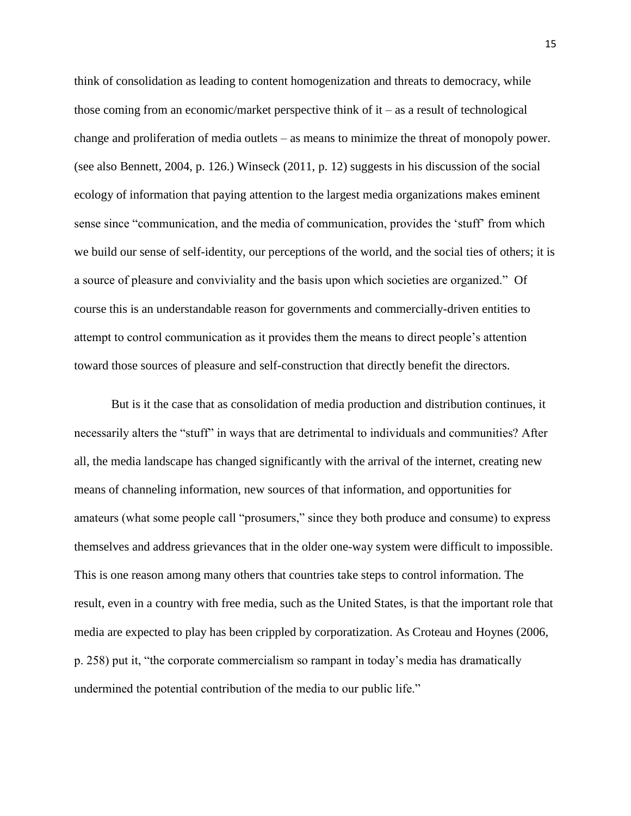think of consolidation as leading to content homogenization and threats to democracy, while those coming from an economic/market perspective think of it – as a result of technological change and proliferation of media outlets – as means to minimize the threat of monopoly power. (see also Bennett, 2004, p. 126.) Winseck (2011, p. 12) suggests in his discussion of the social ecology of information that paying attention to the largest media organizations makes eminent sense since "communication, and the media of communication, provides the 'stuff' from which we build our sense of self-identity, our perceptions of the world, and the social ties of others; it is a source of pleasure and conviviality and the basis upon which societies are organized." Of course this is an understandable reason for governments and commercially-driven entities to attempt to control communication as it provides them the means to direct people's attention toward those sources of pleasure and self-construction that directly benefit the directors.

But is it the case that as consolidation of media production and distribution continues, it necessarily alters the "stuff" in ways that are detrimental to individuals and communities? After all, the media landscape has changed significantly with the arrival of the internet, creating new means of channeling information, new sources of that information, and opportunities for amateurs (what some people call "prosumers," since they both produce and consume) to express themselves and address grievances that in the older one-way system were difficult to impossible. This is one reason among many others that countries take steps to control information. The result, even in a country with free media, such as the United States, is that the important role that media are expected to play has been crippled by corporatization. As Croteau and Hoynes (2006, p. 258) put it, "the corporate commercialism so rampant in today's media has dramatically undermined the potential contribution of the media to our public life."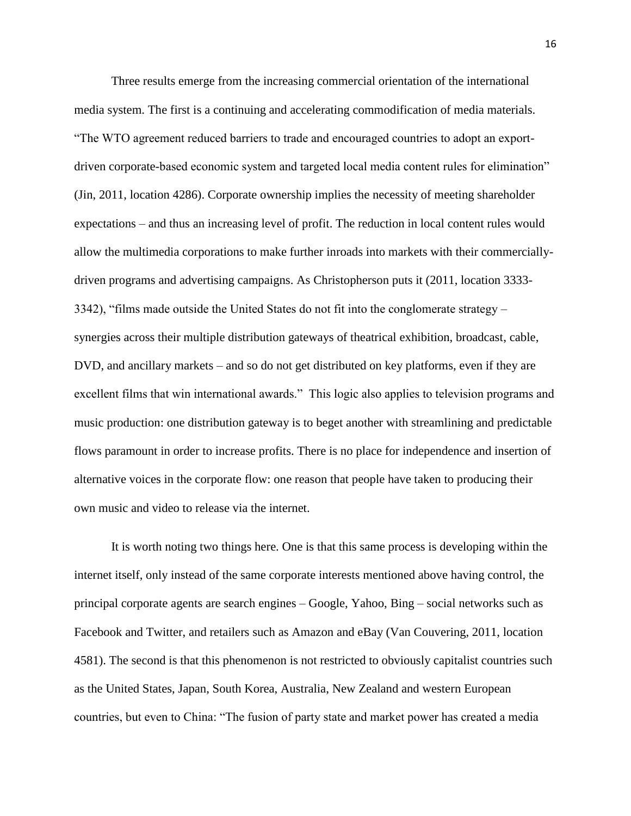Three results emerge from the increasing commercial orientation of the international media system. The first is a continuing and accelerating commodification of media materials. "The WTO agreement reduced barriers to trade and encouraged countries to adopt an exportdriven corporate-based economic system and targeted local media content rules for elimination" (Jin, 2011, location 4286). Corporate ownership implies the necessity of meeting shareholder expectations – and thus an increasing level of profit. The reduction in local content rules would allow the multimedia corporations to make further inroads into markets with their commerciallydriven programs and advertising campaigns. As Christopherson puts it (2011, location 3333- 3342), "films made outside the United States do not fit into the conglomerate strategy – synergies across their multiple distribution gateways of theatrical exhibition, broadcast, cable, DVD, and ancillary markets – and so do not get distributed on key platforms, even if they are excellent films that win international awards." This logic also applies to television programs and music production: one distribution gateway is to beget another with streamlining and predictable flows paramount in order to increase profits. There is no place for independence and insertion of alternative voices in the corporate flow: one reason that people have taken to producing their own music and video to release via the internet.

It is worth noting two things here. One is that this same process is developing within the internet itself, only instead of the same corporate interests mentioned above having control, the principal corporate agents are search engines – Google, Yahoo, Bing – social networks such as Facebook and Twitter, and retailers such as Amazon and eBay (Van Couvering, 2011, location 4581). The second is that this phenomenon is not restricted to obviously capitalist countries such as the United States, Japan, South Korea, Australia, New Zealand and western European countries, but even to China: "The fusion of party state and market power has created a media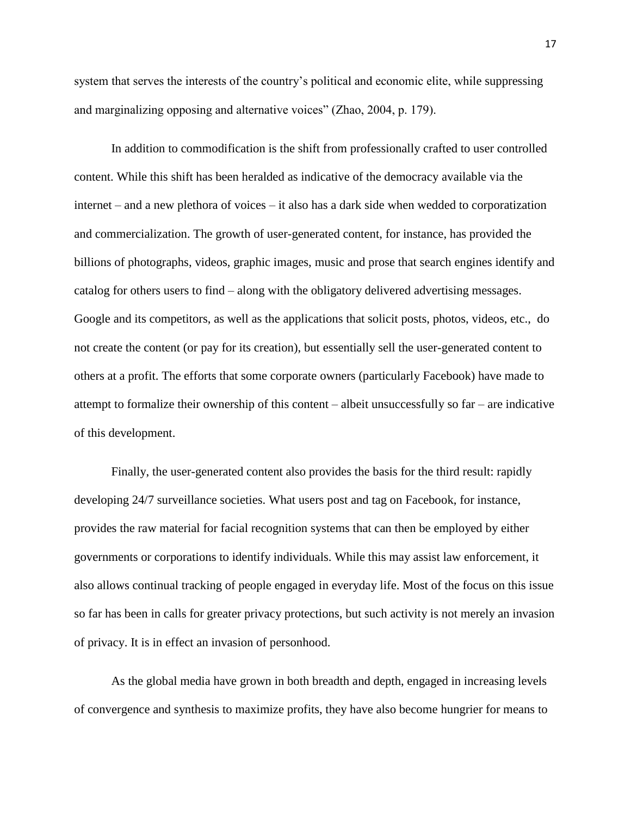system that serves the interests of the country's political and economic elite, while suppressing and marginalizing opposing and alternative voices" (Zhao, 2004, p. 179).

In addition to commodification is the shift from professionally crafted to user controlled content. While this shift has been heralded as indicative of the democracy available via the internet – and a new plethora of voices – it also has a dark side when wedded to corporatization and commercialization. The growth of user-generated content, for instance, has provided the billions of photographs, videos, graphic images, music and prose that search engines identify and catalog for others users to find – along with the obligatory delivered advertising messages. Google and its competitors, as well as the applications that solicit posts, photos, videos, etc., do not create the content (or pay for its creation), but essentially sell the user-generated content to others at a profit. The efforts that some corporate owners (particularly Facebook) have made to attempt to formalize their ownership of this content – albeit unsuccessfully so far – are indicative of this development.

Finally, the user-generated content also provides the basis for the third result: rapidly developing 24/7 surveillance societies. What users post and tag on Facebook, for instance, provides the raw material for facial recognition systems that can then be employed by either governments or corporations to identify individuals. While this may assist law enforcement, it also allows continual tracking of people engaged in everyday life. Most of the focus on this issue so far has been in calls for greater privacy protections, but such activity is not merely an invasion of privacy. It is in effect an invasion of personhood.

As the global media have grown in both breadth and depth, engaged in increasing levels of convergence and synthesis to maximize profits, they have also become hungrier for means to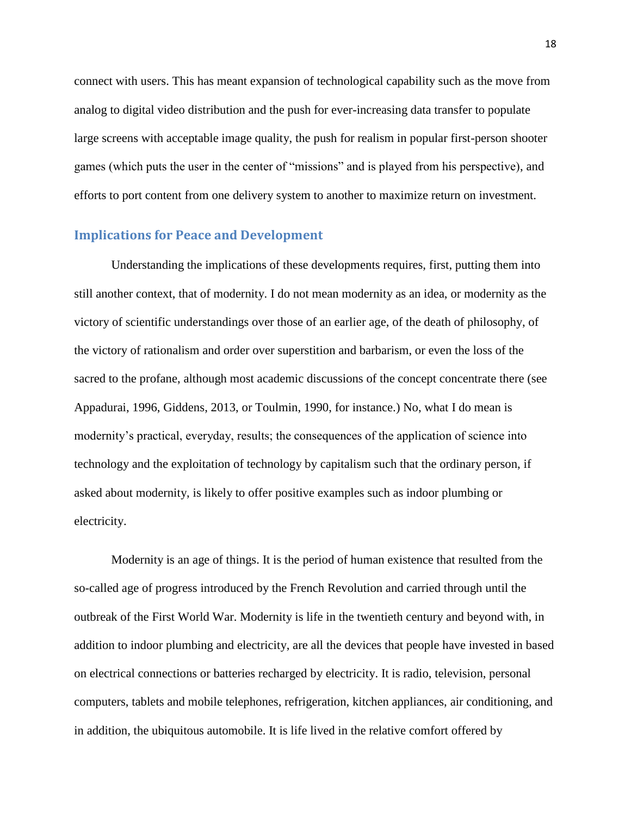connect with users. This has meant expansion of technological capability such as the move from analog to digital video distribution and the push for ever-increasing data transfer to populate large screens with acceptable image quality, the push for realism in popular first-person shooter games (which puts the user in the center of "missions" and is played from his perspective), and efforts to port content from one delivery system to another to maximize return on investment.

## **Implications for Peace and Development**

Understanding the implications of these developments requires, first, putting them into still another context, that of modernity. I do not mean modernity as an idea, or modernity as the victory of scientific understandings over those of an earlier age, of the death of philosophy, of the victory of rationalism and order over superstition and barbarism, or even the loss of the sacred to the profane, although most academic discussions of the concept concentrate there (see Appadurai, 1996, Giddens, 2013, or Toulmin, 1990, for instance.) No, what I do mean is modernity's practical, everyday, results; the consequences of the application of science into technology and the exploitation of technology by capitalism such that the ordinary person, if asked about modernity, is likely to offer positive examples such as indoor plumbing or electricity.

Modernity is an age of things. It is the period of human existence that resulted from the so-called age of progress introduced by the French Revolution and carried through until the outbreak of the First World War. Modernity is life in the twentieth century and beyond with, in addition to indoor plumbing and electricity, are all the devices that people have invested in based on electrical connections or batteries recharged by electricity. It is radio, television, personal computers, tablets and mobile telephones, refrigeration, kitchen appliances, air conditioning, and in addition, the ubiquitous automobile. It is life lived in the relative comfort offered by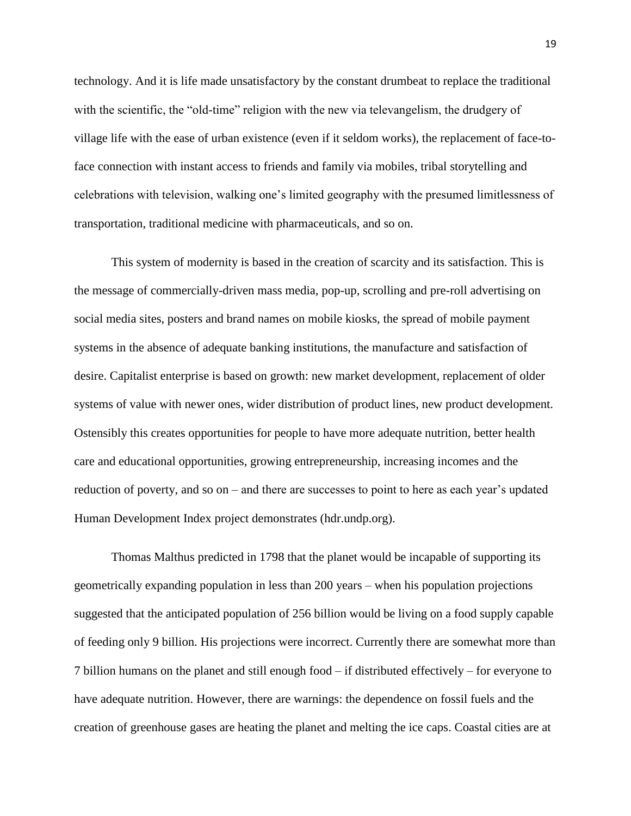technology. And it is life made unsatisfactory by the constant drumbeat to replace the traditional with the scientific, the "old-time" religion with the new via televangelism, the drudgery of village life with the ease of urban existence (even if it seldom works), the replacement of face-toface connection with instant access to friends and family via mobiles, tribal storytelling and celebrations with television, walking one's limited geography with the presumed limitlessness of transportation, traditional medicine with pharmaceuticals, and so on.

This system of modernity is based in the creation of scarcity and its satisfaction. This is the message of commercially-driven mass media, pop-up, scrolling and pre-roll advertising on social media sites, posters and brand names on mobile kiosks, the spread of mobile payment systems in the absence of adequate banking institutions, the manufacture and satisfaction of desire. Capitalist enterprise is based on growth: new market development, replacement of older systems of value with newer ones, wider distribution of product lines, new product development. Ostensibly this creates opportunities for people to have more adequate nutrition, better health care and educational opportunities, growing entrepreneurship, increasing incomes and the reduction of poverty, and so on – and there are successes to point to here as each year's updated Human Development Index project demonstrates (hdr.undp.org).

Thomas Malthus predicted in 1798 that the planet would be incapable of supporting its geometrically expanding population in less than 200 years – when his population projections suggested that the anticipated population of 256 billion would be living on a food supply capable of feeding only 9 billion. His projections were incorrect. Currently there are somewhat more than 7 billion humans on the planet and still enough food – if distributed effectively – for everyone to have adequate nutrition. However, there are warnings: the dependence on fossil fuels and the creation of greenhouse gases are heating the planet and melting the ice caps. Coastal cities are at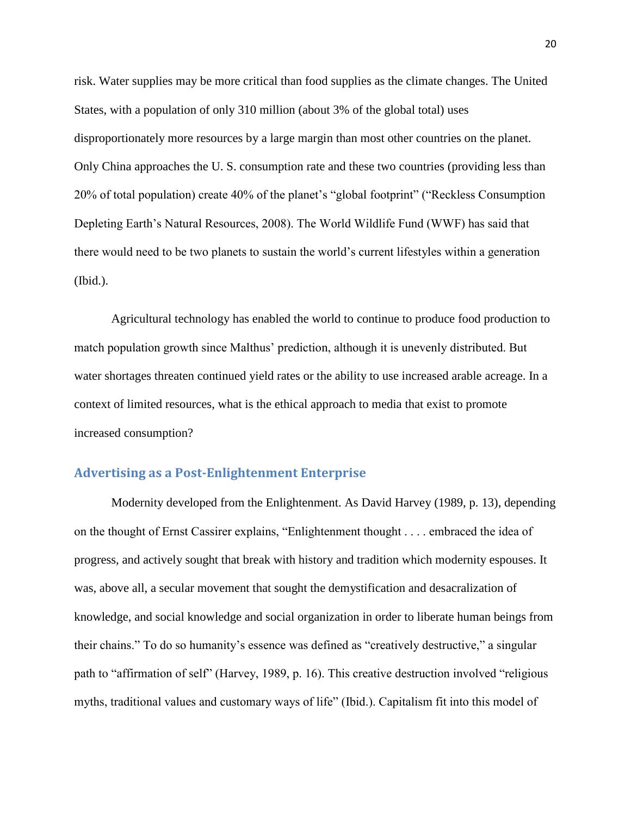risk. Water supplies may be more critical than food supplies as the climate changes. The United States, with a population of only 310 million (about 3% of the global total) uses disproportionately more resources by a large margin than most other countries on the planet. Only China approaches the U. S. consumption rate and these two countries (providing less than 20% of total population) create 40% of the planet's "global footprint" ("Reckless Consumption Depleting Earth's Natural Resources, 2008). The World Wildlife Fund (WWF) has said that there would need to be two planets to sustain the world's current lifestyles within a generation (Ibid.).

Agricultural technology has enabled the world to continue to produce food production to match population growth since Malthus' prediction, although it is unevenly distributed. But water shortages threaten continued yield rates or the ability to use increased arable acreage. In a context of limited resources, what is the ethical approach to media that exist to promote increased consumption?

## **Advertising as a Post-Enlightenment Enterprise**

Modernity developed from the Enlightenment. As David Harvey (1989, p. 13), depending on the thought of Ernst Cassirer explains, "Enlightenment thought . . . . embraced the idea of progress, and actively sought that break with history and tradition which modernity espouses. It was, above all, a secular movement that sought the demystification and desacralization of knowledge, and social knowledge and social organization in order to liberate human beings from their chains." To do so humanity's essence was defined as "creatively destructive," a singular path to "affirmation of self" (Harvey, 1989, p. 16). This creative destruction involved "religious myths, traditional values and customary ways of life" (Ibid.). Capitalism fit into this model of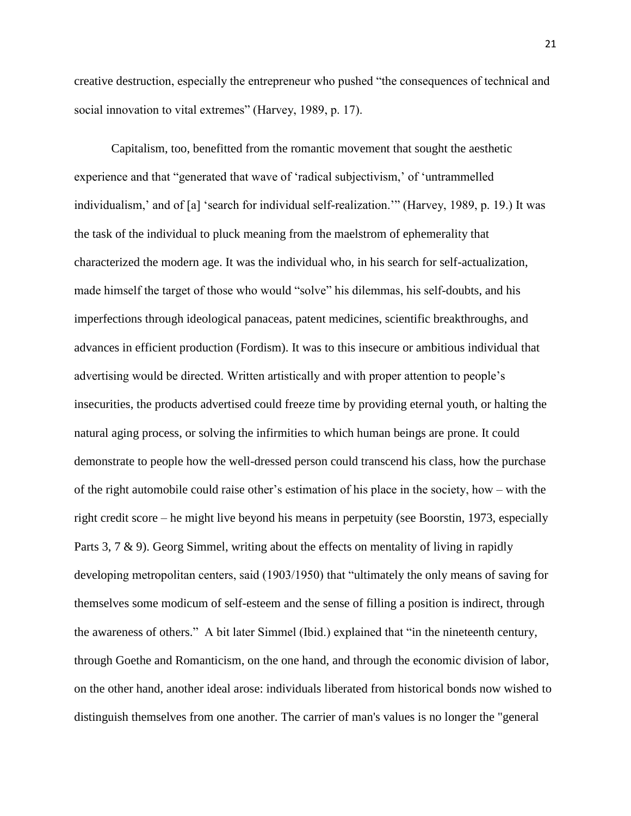creative destruction, especially the entrepreneur who pushed "the consequences of technical and social innovation to vital extremes" (Harvey, 1989, p. 17).

Capitalism, too, benefitted from the romantic movement that sought the aesthetic experience and that "generated that wave of 'radical subjectivism,' of 'untrammelled individualism,' and of [a] 'search for individual self-realization.'" (Harvey, 1989, p. 19.) It was the task of the individual to pluck meaning from the maelstrom of ephemerality that characterized the modern age. It was the individual who, in his search for self-actualization, made himself the target of those who would "solve" his dilemmas, his self-doubts, and his imperfections through ideological panaceas, patent medicines, scientific breakthroughs, and advances in efficient production (Fordism). It was to this insecure or ambitious individual that advertising would be directed. Written artistically and with proper attention to people's insecurities, the products advertised could freeze time by providing eternal youth, or halting the natural aging process, or solving the infirmities to which human beings are prone. It could demonstrate to people how the well-dressed person could transcend his class, how the purchase of the right automobile could raise other's estimation of his place in the society, how – with the right credit score – he might live beyond his means in perpetuity (see Boorstin, 1973, especially Parts 3, 7 & 9). Georg Simmel, writing about the effects on mentality of living in rapidly developing metropolitan centers, said (1903/1950) that "ultimately the only means of saving for themselves some modicum of self-esteem and the sense of filling a position is indirect, through the awareness of others." A bit later Simmel (Ibid.) explained that "in the nineteenth century, through Goethe and Romanticism, on the one hand, and through the economic division of labor, on the other hand, another ideal arose: individuals liberated from historical bonds now wished to distinguish themselves from one another. The carrier of man's values is no longer the "general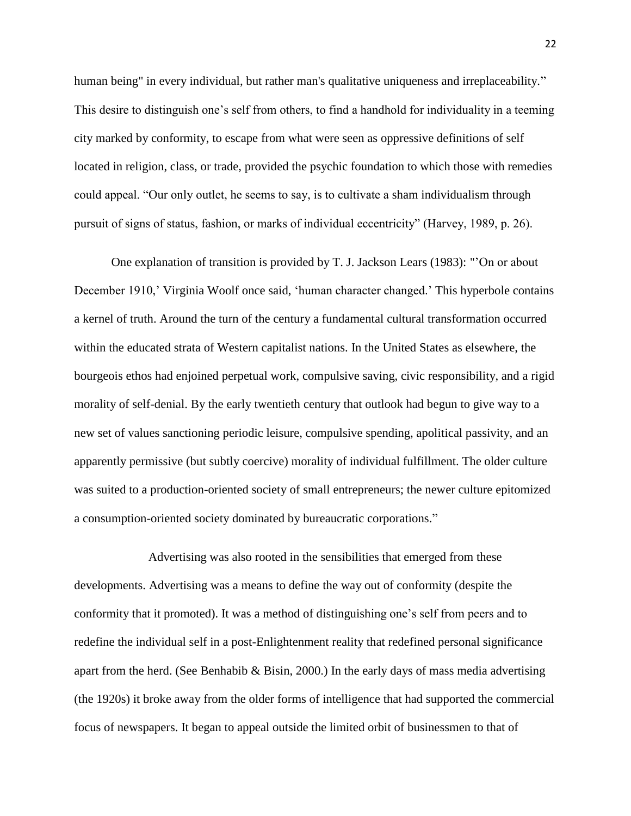human being" in every individual, but rather man's qualitative uniqueness and irreplaceability." This desire to distinguish one's self from others, to find a handhold for individuality in a teeming city marked by conformity, to escape from what were seen as oppressive definitions of self located in religion, class, or trade, provided the psychic foundation to which those with remedies could appeal. "Our only outlet, he seems to say, is to cultivate a sham individualism through pursuit of signs of status, fashion, or marks of individual eccentricity" (Harvey, 1989, p. 26).

One explanation of transition is provided by T. J. Jackson Lears (1983): "'On or about December 1910,' Virginia Woolf once said, 'human character changed.' This hyperbole contains a kernel of truth. Around the turn of the century a fundamental cultural transformation occurred within the educated strata of Western capitalist nations. In the United States as elsewhere, the bourgeois ethos had enjoined perpetual work, compulsive saving, civic responsibility, and a rigid morality of self-denial. By the early twentieth century that outlook had begun to give way to a new set of values sanctioning periodic leisure, compulsive spending, apolitical passivity, and an apparently permissive (but subtly coercive) morality of individual fulfillment. The older culture was suited to a production-oriented society of small entrepreneurs; the newer culture epitomized a consumption-oriented society dominated by bureaucratic corporations."

Advertising was also rooted in the sensibilities that emerged from these developments. Advertising was a means to define the way out of conformity (despite the conformity that it promoted). It was a method of distinguishing one's self from peers and to redefine the individual self in a post-Enlightenment reality that redefined personal significance apart from the herd. (See Benhabib & Bisin, 2000.) In the early days of mass media advertising (the 1920s) it broke away from the older forms of intelligence that had supported the commercial focus of newspapers. It began to appeal outside the limited orbit of businessmen to that of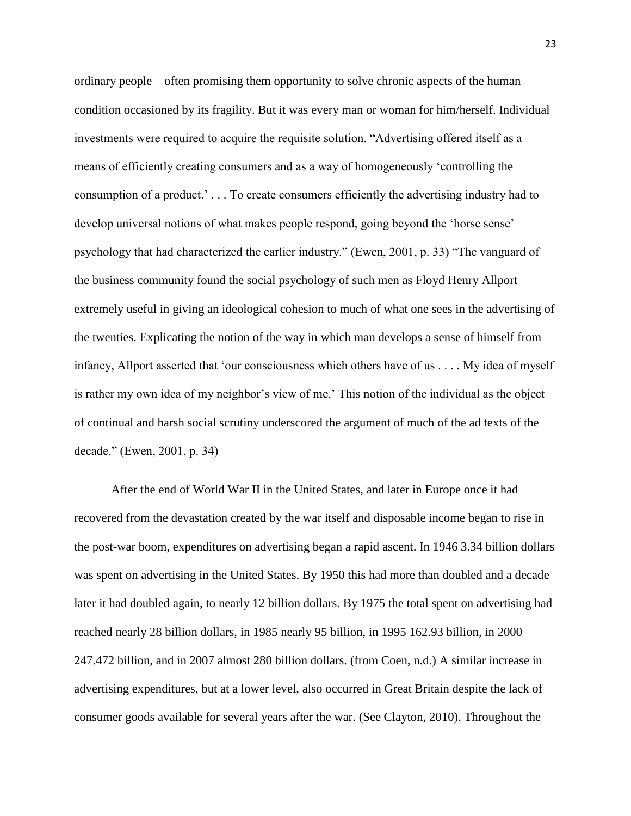ordinary people – often promising them opportunity to solve chronic aspects of the human condition occasioned by its fragility. But it was every man or woman for him/herself. Individual investments were required to acquire the requisite solution. "Advertising offered itself as a means of efficiently creating consumers and as a way of homogeneously 'controlling the consumption of a product.' . . . To create consumers efficiently the advertising industry had to develop universal notions of what makes people respond, going beyond the 'horse sense' psychology that had characterized the earlier industry." (Ewen, 2001, p. 33) "The vanguard of the business community found the social psychology of such men as Floyd Henry Allport extremely useful in giving an ideological cohesion to much of what one sees in the advertising of the twenties. Explicating the notion of the way in which man develops a sense of himself from infancy, Allport asserted that 'our consciousness which others have of us . . . . My idea of myself is rather my own idea of my neighbor's view of me.' This notion of the individual as the object of continual and harsh social scrutiny underscored the argument of much of the ad texts of the decade." (Ewen, 2001, p. 34)

After the end of World War II in the United States, and later in Europe once it had recovered from the devastation created by the war itself and disposable income began to rise in the post-war boom, expenditures on advertising began a rapid ascent. In 1946 3.34 billion dollars was spent on advertising in the United States. By 1950 this had more than doubled and a decade later it had doubled again, to nearly 12 billion dollars. By 1975 the total spent on advertising had reached nearly 28 billion dollars, in 1985 nearly 95 billion, in 1995 162.93 billion, in 2000 247.472 billion, and in 2007 almost 280 billion dollars. (from Coen, n.d.) A similar increase in advertising expenditures, but at a lower level, also occurred in Great Britain despite the lack of consumer goods available for several years after the war. (See Clayton, 2010). Throughout the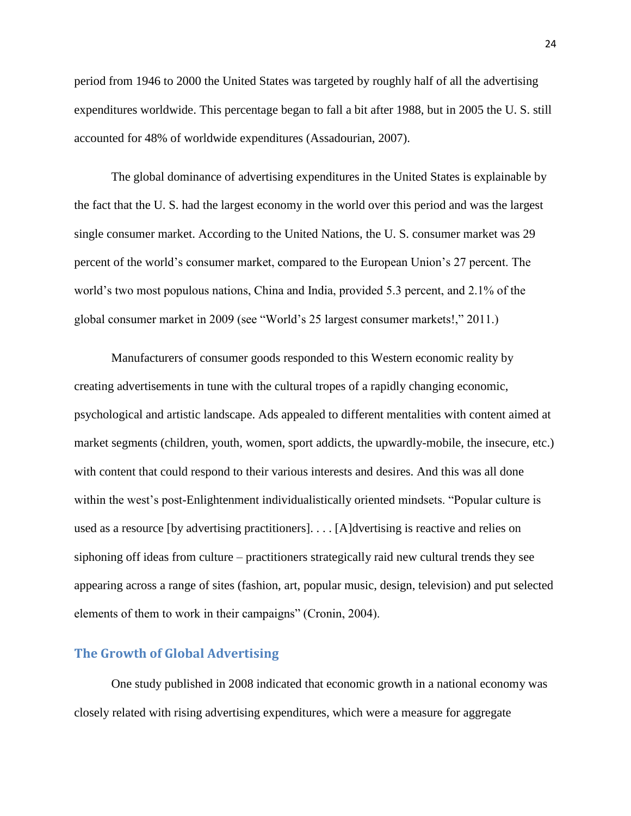period from 1946 to 2000 the United States was targeted by roughly half of all the advertising expenditures worldwide. This percentage began to fall a bit after 1988, but in 2005 the U. S. still accounted for 48% of worldwide expenditures (Assadourian, 2007).

The global dominance of advertising expenditures in the United States is explainable by the fact that the U. S. had the largest economy in the world over this period and was the largest single consumer market. According to the United Nations, the U. S. consumer market was 29 percent of the world's consumer market, compared to the European Union's 27 percent. The world's two most populous nations, China and India, provided 5.3 percent, and 2.1% of the global consumer market in 2009 (see "World's 25 largest consumer markets!," 2011.)

Manufacturers of consumer goods responded to this Western economic reality by creating advertisements in tune with the cultural tropes of a rapidly changing economic, psychological and artistic landscape. Ads appealed to different mentalities with content aimed at market segments (children, youth, women, sport addicts, the upwardly-mobile, the insecure, etc.) with content that could respond to their various interests and desires. And this was all done within the west's post-Enlightenment individualistically oriented mindsets. "Popular culture is used as a resource [by advertising practitioners]. . . . [A]dvertising is reactive and relies on siphoning off ideas from culture – practitioners strategically raid new cultural trends they see appearing across a range of sites (fashion, art, popular music, design, television) and put selected elements of them to work in their campaigns" (Cronin, 2004).

## **The Growth of Global Advertising**

One study published in 2008 indicated that economic growth in a national economy was closely related with rising advertising expenditures, which were a measure for aggregate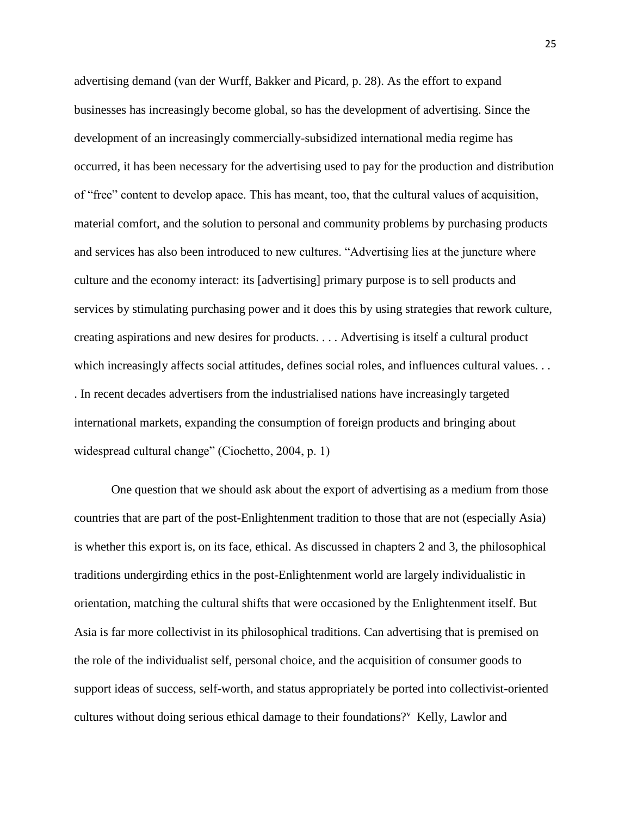advertising demand (van der Wurff, Bakker and Picard, p. 28). As the effort to expand businesses has increasingly become global, so has the development of advertising. Since the development of an increasingly commercially-subsidized international media regime has occurred, it has been necessary for the advertising used to pay for the production and distribution of "free" content to develop apace. This has meant, too, that the cultural values of acquisition, material comfort, and the solution to personal and community problems by purchasing products and services has also been introduced to new cultures. "Advertising lies at the juncture where culture and the economy interact: its [advertising] primary purpose is to sell products and services by stimulating purchasing power and it does this by using strategies that rework culture, creating aspirations and new desires for products. . . . Advertising is itself a cultural product which increasingly affects social attitudes, defines social roles, and influences cultural values. . . . In recent decades advertisers from the industrialised nations have increasingly targeted international markets, expanding the consumption of foreign products and bringing about widespread cultural change" (Ciochetto, 2004, p. 1)

One question that we should ask about the export of advertising as a medium from those countries that are part of the post-Enlightenment tradition to those that are not (especially Asia) is whether this export is, on its face, ethical. As discussed in chapters 2 and 3, the philosophical traditions undergirding ethics in the post-Enlightenment world are largely individualistic in orientation, matching the cultural shifts that were occasioned by the Enlightenment itself. But Asia is far more collectivist in its philosophical traditions. Can advertising that is premised on the role of the individualist self, personal choice, and the acquisition of consumer goods to support ideas of success, self-worth, and status appropriately be ported into collectivist-oriented cultures without doing serious ethical damage to their foundations?<sup>v</sup> Kelly, Lawlor and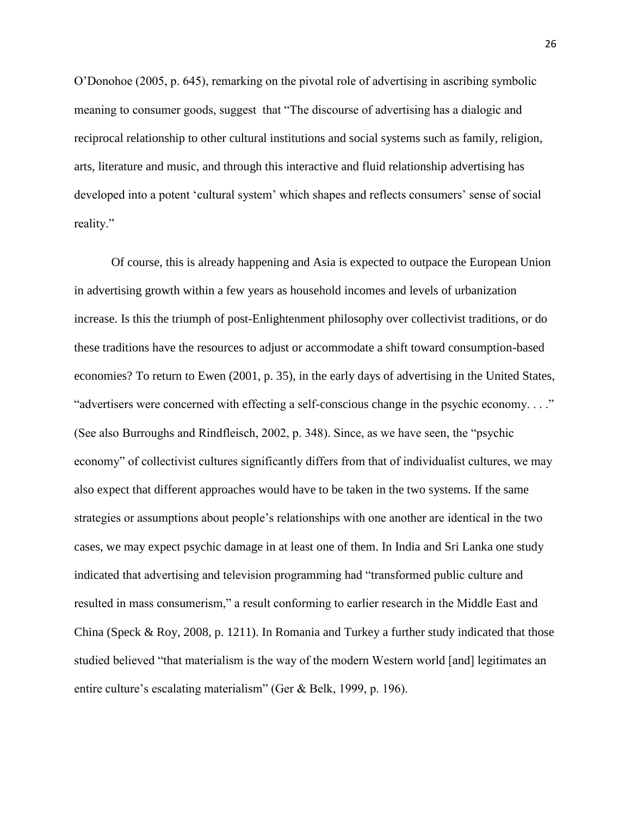O'Donohoe (2005, p. 645), remarking on the pivotal role of advertising in ascribing symbolic meaning to consumer goods, suggest that "The discourse of advertising has a dialogic and reciprocal relationship to other cultural institutions and social systems such as family, religion, arts, literature and music, and through this interactive and fluid relationship advertising has developed into a potent 'cultural system' which shapes and reflects consumers' sense of social reality."

Of course, this is already happening and Asia is expected to outpace the European Union in advertising growth within a few years as household incomes and levels of urbanization increase. Is this the triumph of post-Enlightenment philosophy over collectivist traditions, or do these traditions have the resources to adjust or accommodate a shift toward consumption-based economies? To return to Ewen (2001, p. 35), in the early days of advertising in the United States, "advertisers were concerned with effecting a self-conscious change in the psychic economy. . . ." (See also Burroughs and Rindfleisch, 2002, p. 348). Since, as we have seen, the "psychic economy" of collectivist cultures significantly differs from that of individualist cultures, we may also expect that different approaches would have to be taken in the two systems. If the same strategies or assumptions about people's relationships with one another are identical in the two cases, we may expect psychic damage in at least one of them. In India and Sri Lanka one study indicated that advertising and television programming had "transformed public culture and resulted in mass consumerism," a result conforming to earlier research in the Middle East and China (Speck & Roy, 2008, p. 1211). In Romania and Turkey a further study indicated that those studied believed "that materialism is the way of the modern Western world [and] legitimates an entire culture's escalating materialism" (Ger & Belk, 1999, p. 196).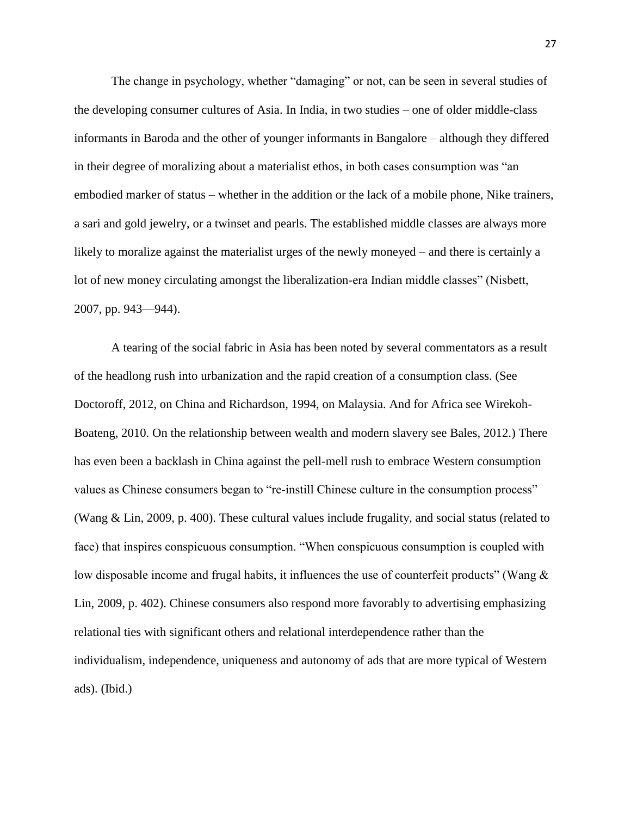The change in psychology, whether "damaging" or not, can be seen in several studies of the developing consumer cultures of Asia. In India, in two studies – one of older middle-class informants in Baroda and the other of younger informants in Bangalore – although they differed in their degree of moralizing about a materialist ethos, in both cases consumption was "an embodied marker of status – whether in the addition or the lack of a mobile phone, Nike trainers, a sari and gold jewelry, or a twinset and pearls. The established middle classes are always more likely to moralize against the materialist urges of the newly moneyed – and there is certainly a lot of new money circulating amongst the liberalization-era Indian middle classes" (Nisbett, 2007, pp. 943—944).

A tearing of the social fabric in Asia has been noted by several commentators as a result of the headlong rush into urbanization and the rapid creation of a consumption class. (See Doctoroff, 2012, on China and Richardson, 1994, on Malaysia. And for Africa see Wirekoh-Boateng, 2010. On the relationship between wealth and modern slavery see Bales, 2012.) There has even been a backlash in China against the pell-mell rush to embrace Western consumption values as Chinese consumers began to "re-instill Chinese culture in the consumption process" (Wang & Lin, 2009, p. 400). These cultural values include frugality, and social status (related to face) that inspires conspicuous consumption. "When conspicuous consumption is coupled with low disposable income and frugal habits, it influences the use of counterfeit products" (Wang & Lin, 2009, p. 402). Chinese consumers also respond more favorably to advertising emphasizing relational ties with significant others and relational interdependence rather than the individualism, independence, uniqueness and autonomy of ads that are more typical of Western ads). (Ibid.)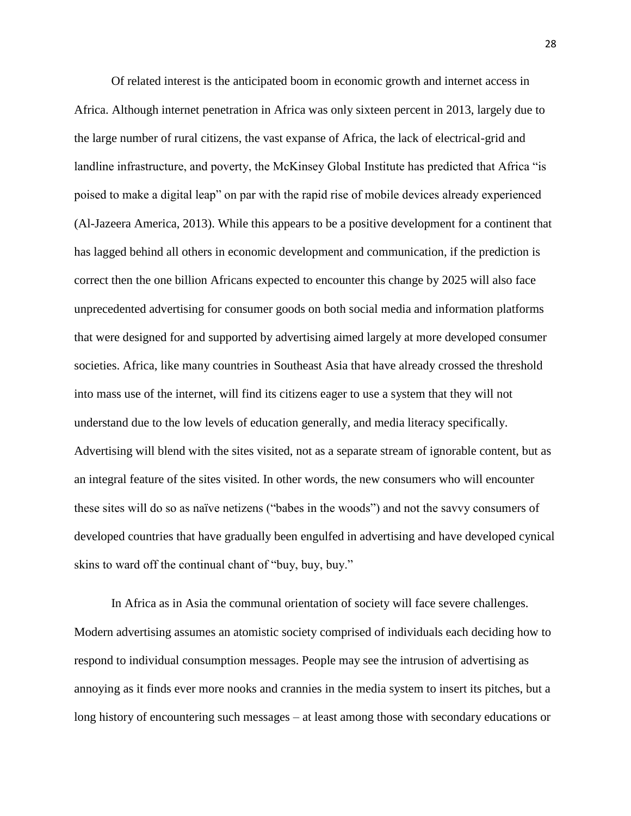Of related interest is the anticipated boom in economic growth and internet access in Africa. Although internet penetration in Africa was only sixteen percent in 2013, largely due to the large number of rural citizens, the vast expanse of Africa, the lack of electrical-grid and landline infrastructure, and poverty, the McKinsey Global Institute has predicted that Africa "is poised to make a digital leap" on par with the rapid rise of mobile devices already experienced (Al-Jazeera America, 2013). While this appears to be a positive development for a continent that has lagged behind all others in economic development and communication, if the prediction is correct then the one billion Africans expected to encounter this change by 2025 will also face unprecedented advertising for consumer goods on both social media and information platforms that were designed for and supported by advertising aimed largely at more developed consumer societies. Africa, like many countries in Southeast Asia that have already crossed the threshold into mass use of the internet, will find its citizens eager to use a system that they will not understand due to the low levels of education generally, and media literacy specifically. Advertising will blend with the sites visited, not as a separate stream of ignorable content, but as an integral feature of the sites visited. In other words, the new consumers who will encounter these sites will do so as naïve netizens ("babes in the woods") and not the savvy consumers of developed countries that have gradually been engulfed in advertising and have developed cynical skins to ward off the continual chant of "buy, buy, buy."

In Africa as in Asia the communal orientation of society will face severe challenges. Modern advertising assumes an atomistic society comprised of individuals each deciding how to respond to individual consumption messages. People may see the intrusion of advertising as annoying as it finds ever more nooks and crannies in the media system to insert its pitches, but a long history of encountering such messages – at least among those with secondary educations or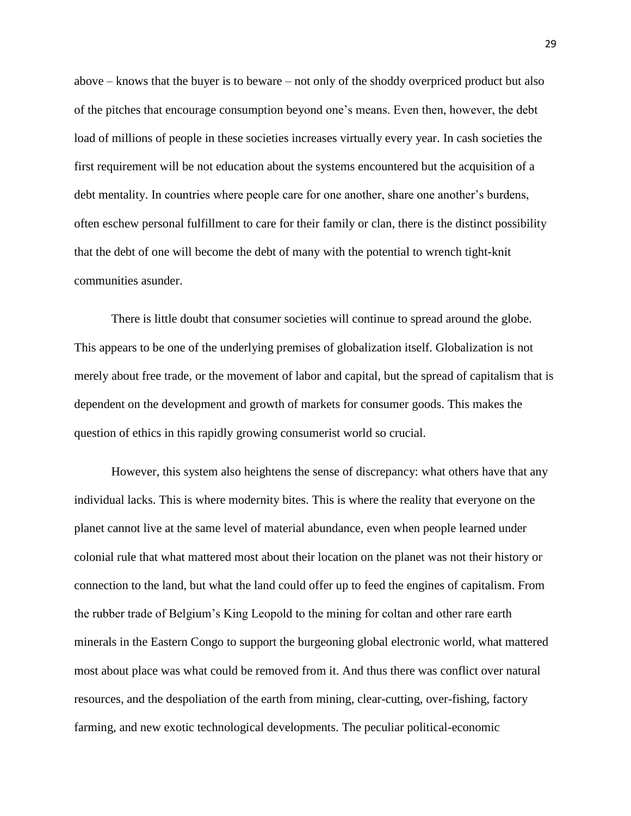above – knows that the buyer is to beware – not only of the shoddy overpriced product but also of the pitches that encourage consumption beyond one's means. Even then, however, the debt load of millions of people in these societies increases virtually every year. In cash societies the first requirement will be not education about the systems encountered but the acquisition of a debt mentality. In countries where people care for one another, share one another's burdens, often eschew personal fulfillment to care for their family or clan, there is the distinct possibility that the debt of one will become the debt of many with the potential to wrench tight-knit communities asunder.

There is little doubt that consumer societies will continue to spread around the globe. This appears to be one of the underlying premises of globalization itself. Globalization is not merely about free trade, or the movement of labor and capital, but the spread of capitalism that is dependent on the development and growth of markets for consumer goods. This makes the question of ethics in this rapidly growing consumerist world so crucial.

However, this system also heightens the sense of discrepancy: what others have that any individual lacks. This is where modernity bites. This is where the reality that everyone on the planet cannot live at the same level of material abundance, even when people learned under colonial rule that what mattered most about their location on the planet was not their history or connection to the land, but what the land could offer up to feed the engines of capitalism. From the rubber trade of Belgium's King Leopold to the mining for coltan and other rare earth minerals in the Eastern Congo to support the burgeoning global electronic world, what mattered most about place was what could be removed from it. And thus there was conflict over natural resources, and the despoliation of the earth from mining, clear-cutting, over-fishing, factory farming, and new exotic technological developments. The peculiar political-economic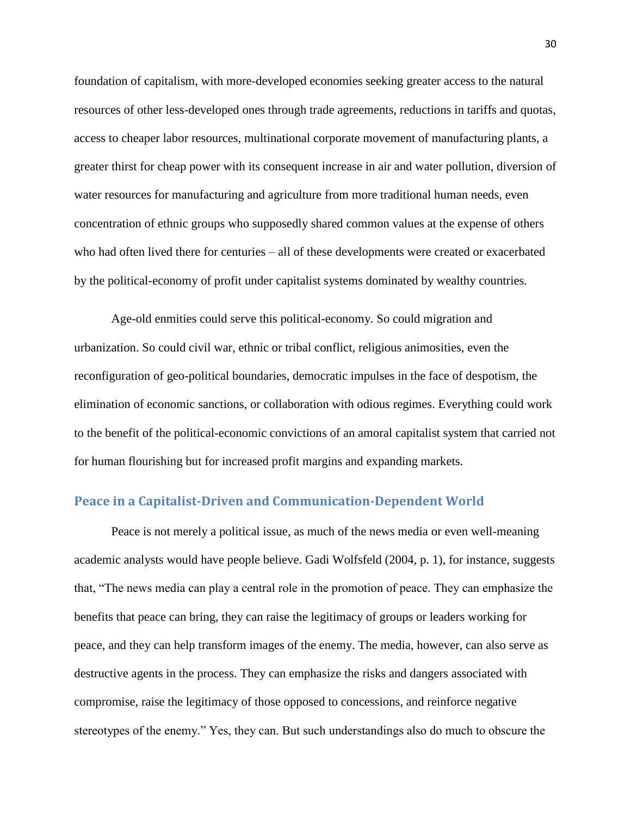foundation of capitalism, with more-developed economies seeking greater access to the natural resources of other less-developed ones through trade agreements, reductions in tariffs and quotas, access to cheaper labor resources, multinational corporate movement of manufacturing plants, a greater thirst for cheap power with its consequent increase in air and water pollution, diversion of water resources for manufacturing and agriculture from more traditional human needs, even concentration of ethnic groups who supposedly shared common values at the expense of others who had often lived there for centuries – all of these developments were created or exacerbated by the political-economy of profit under capitalist systems dominated by wealthy countries.

Age-old enmities could serve this political-economy. So could migration and urbanization. So could civil war, ethnic or tribal conflict, religious animosities, even the reconfiguration of geo-political boundaries, democratic impulses in the face of despotism, the elimination of economic sanctions, or collaboration with odious regimes. Everything could work to the benefit of the political-economic convictions of an amoral capitalist system that carried not for human flourishing but for increased profit margins and expanding markets.

### **Peace in a Capitalist-Driven and Communication-Dependent World**

Peace is not merely a political issue, as much of the news media or even well-meaning academic analysts would have people believe. Gadi Wolfsfeld (2004, p. 1), for instance, suggests that, "The news media can play a central role in the promotion of peace. They can emphasize the benefits that peace can bring, they can raise the legitimacy of groups or leaders working for peace, and they can help transform images of the enemy. The media, however, can also serve as destructive agents in the process. They can emphasize the risks and dangers associated with compromise, raise the legitimacy of those opposed to concessions, and reinforce negative stereotypes of the enemy." Yes, they can. But such understandings also do much to obscure the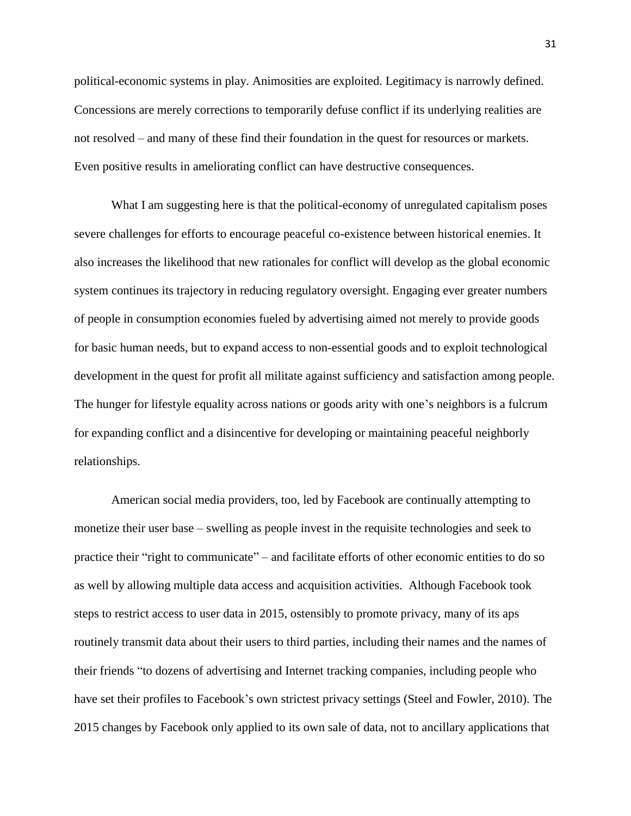political-economic systems in play. Animosities are exploited. Legitimacy is narrowly defined. Concessions are merely corrections to temporarily defuse conflict if its underlying realities are not resolved – and many of these find their foundation in the quest for resources or markets. Even positive results in ameliorating conflict can have destructive consequences.

What I am suggesting here is that the political-economy of unregulated capitalism poses severe challenges for efforts to encourage peaceful co-existence between historical enemies. It also increases the likelihood that new rationales for conflict will develop as the global economic system continues its trajectory in reducing regulatory oversight. Engaging ever greater numbers of people in consumption economies fueled by advertising aimed not merely to provide goods for basic human needs, but to expand access to non-essential goods and to exploit technological development in the quest for profit all militate against sufficiency and satisfaction among people. The hunger for lifestyle equality across nations or goods arity with one's neighbors is a fulcrum for expanding conflict and a disincentive for developing or maintaining peaceful neighborly relationships.

American social media providers, too, led by Facebook are continually attempting to monetize their user base – swelling as people invest in the requisite technologies and seek to practice their "right to communicate" – and facilitate efforts of other economic entities to do so as well by allowing multiple data access and acquisition activities. Although Facebook took steps to restrict access to user data in 2015, ostensibly to promote privacy, many of its aps routinely transmit data about their users to third parties, including their names and the names of their friends "to dozens of advertising and Internet tracking companies, including people who have set their profiles to Facebook's own strictest privacy settings (Steel and Fowler, 2010). The 2015 changes by Facebook only applied to its own sale of data, not to ancillary applications that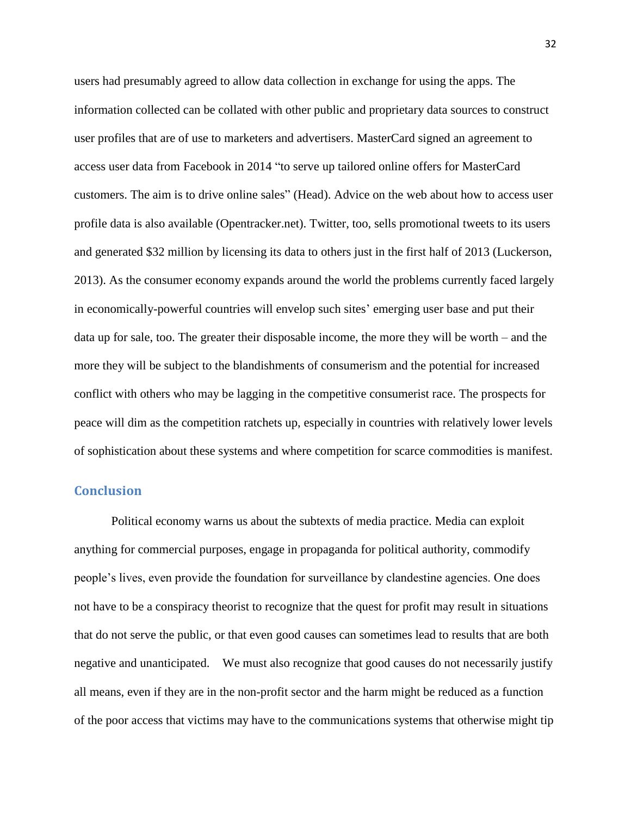users had presumably agreed to allow data collection in exchange for using the apps. The information collected can be collated with other public and proprietary data sources to construct user profiles that are of use to marketers and advertisers. MasterCard signed an agreement to access user data from Facebook in 2014 "to serve up tailored online offers for MasterCard customers. The aim is to drive online sales" (Head). Advice on the web about how to access user profile data is also available (Opentracker.net). Twitter, too, sells promotional tweets to its users and generated \$32 million by licensing its data to others just in the first half of 2013 (Luckerson, 2013). As the consumer economy expands around the world the problems currently faced largely in economically-powerful countries will envelop such sites' emerging user base and put their data up for sale, too. The greater their disposable income, the more they will be worth – and the more they will be subject to the blandishments of consumerism and the potential for increased conflict with others who may be lagging in the competitive consumerist race. The prospects for peace will dim as the competition ratchets up, especially in countries with relatively lower levels of sophistication about these systems and where competition for scarce commodities is manifest.

## **Conclusion**

Political economy warns us about the subtexts of media practice. Media can exploit anything for commercial purposes, engage in propaganda for political authority, commodify people's lives, even provide the foundation for surveillance by clandestine agencies. One does not have to be a conspiracy theorist to recognize that the quest for profit may result in situations that do not serve the public, or that even good causes can sometimes lead to results that are both negative and unanticipated. We must also recognize that good causes do not necessarily justify all means, even if they are in the non-profit sector and the harm might be reduced as a function of the poor access that victims may have to the communications systems that otherwise might tip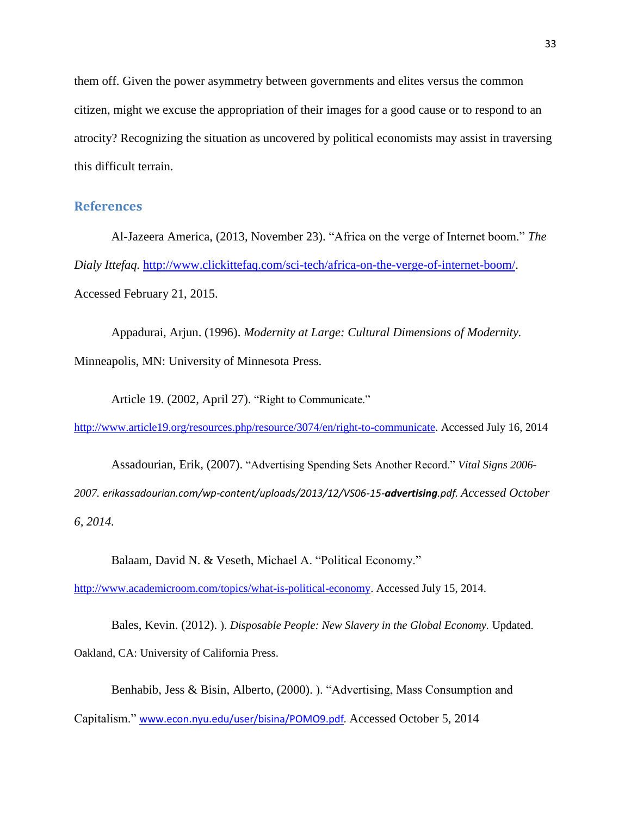them off. Given the power asymmetry between governments and elites versus the common citizen, might we excuse the appropriation of their images for a good cause or to respond to an atrocity? Recognizing the situation as uncovered by political economists may assist in traversing this difficult terrain.

### **References**

Al-Jazeera America, (2013, November 23). "Africa on the verge of Internet boom." *The Dialy Ittefaq.* [http://www.clickittefaq.com/sci-tech/africa-on-the-verge-of-internet-boom/.](http://www.clickittefaq.com/sci-tech/africa-on-the-verge-of-internet-boom/) Accessed February 21, 2015.

Appadurai, Arjun. (1996). *Modernity at Large: Cultural Dimensions of Modernity.* Minneapolis, MN: University of Minnesota Press.

Article 19. (2002, April 27). "Right to Communicate."

[http://www.article19.org/resources.php/resource/3074/en/right-to-communicate.](http://www.article19.org/resources.php/resource/3074/en/right-to-communicate) Accessed July 16, 2014

Assadourian, Erik, (2007). "Advertising Spending Sets Another Record." *Vital Signs 2006- 2007. erikassadourian.com/wp-content/uploads/2013/12/VS06-15-advertising.pdf. Accessed October 6, 2014.*

Balaam, David N. & Veseth, Michael A. "Political Economy."

[http://www.academicroom.com/topics/what-is-political-economy.](http://www.academicroom.com/topics/what-is-political-economy) Accessed July 15, 2014.

Bales, Kevin. (2012). ). *Disposable People: New Slavery in the Global Economy.* Updated. Oakland, CA: University of California Press.

Benhabib, Jess & Bisin, Alberto, (2000). ). "Advertising, Mass Consumption and

Capitalism." [www.econ.nyu.edu/user/bisina/POMO9.pdf](http://www.econ.nyu.edu/user/bisina/POMO9.pdf)*.* Accessed October 5, 2014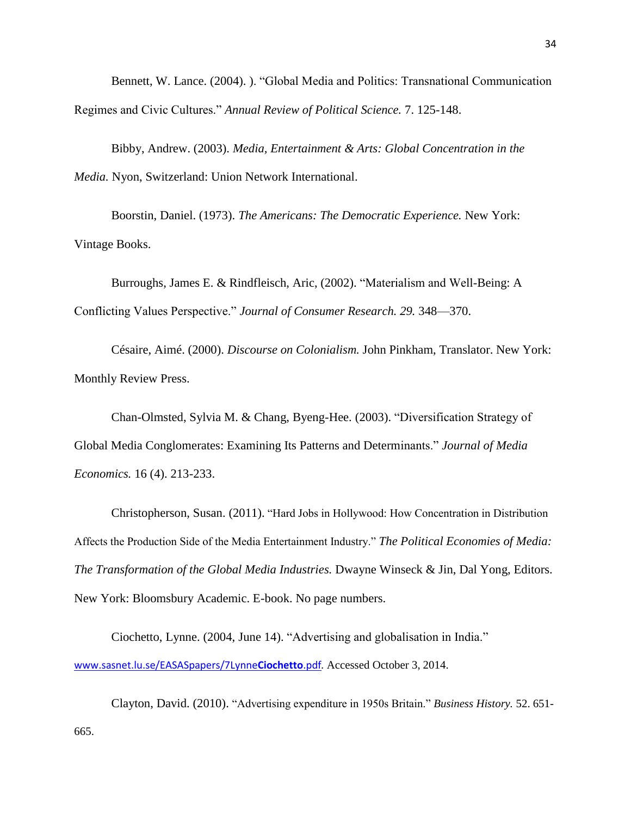Bennett, W. Lance. (2004). ). "Global Media and Politics: Transnational Communication Regimes and Civic Cultures." *Annual Review of Political Science.* 7. 125-148.

Bibby, Andrew. (2003). *Media, Entertainment & Arts: Global Concentration in the Media.* Nyon, Switzerland: Union Network International.

Boorstin, Daniel. (1973). *The Americans: The Democratic Experience.* New York: Vintage Books.

Burroughs, James E. & Rindfleisch, Aric, (2002). "Materialism and Well-Being: A Conflicting Values Perspective." *Journal of Consumer Research. 29.* 348—370.

Césaire, Aimé. (2000). *Discourse on Colonialism.* John Pinkham, Translator. New York: Monthly Review Press.

Chan-Olmsted, Sylvia M. & Chang, Byeng-Hee. (2003). "Diversification Strategy of Global Media Conglomerates: Examining Its Patterns and Determinants." *Journal of Media Economics.* 16 (4). 213-233.

Christopherson, Susan. (2011). "Hard Jobs in Hollywood: How Concentration in Distribution Affects the Production Side of the Media Entertainment Industry." *The Political Economies of Media: The Transformation of the Global Media Industries.* Dwayne Winseck & Jin, Dal Yong, Editors. New York: Bloomsbury Academic. E-book. No page numbers.

Ciochetto, Lynne. (2004, June 14). "Advertising and globalisation in India."

[www.sasnet.lu.se/EASASpapers/7Lynne](http://www.sasnet.lu.se/EASASpapers/7LynneCiochetto.pdf)**Ciochetto**.pdf*.* Accessed October 3, 2014.

Clayton, David. (2010). "Advertising expenditure in 1950s Britain." *Business History.* 52. 651- 665.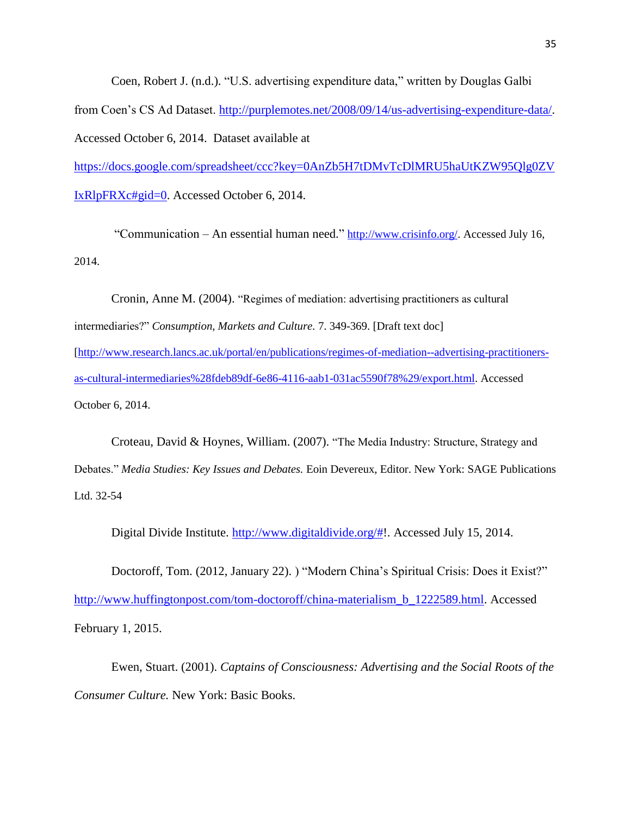Coen, Robert J. (n.d.). "U.S. advertising expenditure data," written by Douglas Galbi from Coen's CS Ad Dataset. [http://purplemotes.net/2008/09/14/us-advertising-expenditure-data/.](http://purplemotes.net/2008/09/14/us-advertising-expenditure-data/) Accessed October 6, 2014. Dataset available at

[https://docs.google.com/spreadsheet/ccc?key=0AnZb5H7tDMvTcDlMRU5haUtKZW95Qlg0ZV](https://docs.google.com/spreadsheet/ccc?key=0AnZb5H7tDMvTcDlMRU5haUtKZW95Qlg0ZVIxRlpFRXc#gid=0) [IxRlpFRXc#gid=0.](https://docs.google.com/spreadsheet/ccc?key=0AnZb5H7tDMvTcDlMRU5haUtKZW95Qlg0ZVIxRlpFRXc#gid=0) Accessed October 6, 2014.

"Communication – An essential human need." [http://www.crisinfo.org/.](http://www.crisinfo.org/) Accessed July 16, 2014.

Cronin, Anne M. (2004). "Regimes of mediation: advertising practitioners as cultural intermediaries?" *Consumption, Markets and Culture.* 7. 349-369. [Draft text doc] [\[http://www.research.lancs.ac.uk/portal/en/publications/regimes-of-mediation--advertising-practitioners](http://www.research.lancs.ac.uk/portal/en/publications/regimes-of-mediation--advertising-practitioners-as-cultural-intermediaries%28fdeb89df-6e86-4116-aab1-031ac5590f78%29/export.html)[as-cultural-intermediaries%28fdeb89df-6e86-4116-aab1-031ac5590f78%29/export.html.](http://www.research.lancs.ac.uk/portal/en/publications/regimes-of-mediation--advertising-practitioners-as-cultural-intermediaries%28fdeb89df-6e86-4116-aab1-031ac5590f78%29/export.html) Accessed October 6, 2014.

Croteau, David & Hoynes, William. (2007). "The Media Industry: Structure, Strategy and Debates." *Media Studies: Key Issues and Debates.* Eoin Devereux, Editor. New York: SAGE Publications Ltd. 32-54

Digital Divide Institute. [http://www.digitaldivide.org/#!](http://www.digitaldivide.org/). Accessed July 15, 2014.

Doctoroff, Tom. (2012, January 22). ) "Modern China's Spiritual Crisis: Does it Exist?" [http://www.huffingtonpost.com/tom-doctoroff/china-materialism\\_b\\_1222589.html.](http://www.huffingtonpost.com/tom-doctoroff/china-materialism_b_1222589.html) Accessed February 1, 2015.

Ewen, Stuart. (2001). *Captains of Consciousness: Advertising and the Social Roots of the Consumer Culture.* New York: Basic Books.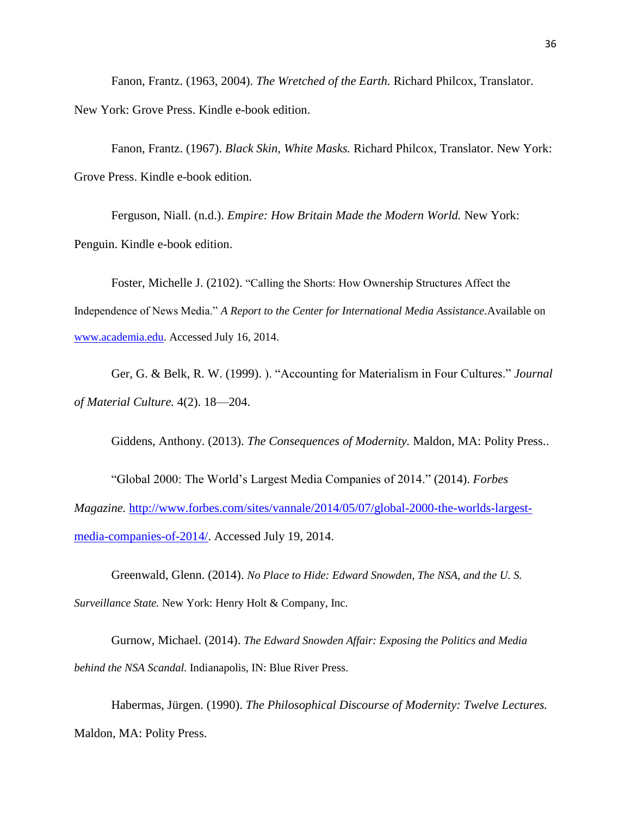Fanon, Frantz. (1963, 2004). *The Wretched of the Earth.* Richard Philcox, Translator. New York: Grove Press. Kindle e-book edition.

Fanon, Frantz. (1967). *Black Skin, White Masks.* Richard Philcox, Translator. New York: Grove Press. Kindle e-book edition.

Ferguson, Niall. (n.d.). *Empire: How Britain Made the Modern World.* New York: Penguin. Kindle e-book edition.

Foster, Michelle J. (2102). "Calling the Shorts: How Ownership Structures Affect the Independence of News Media." *A Report to the Center for International Media Assistance.*Available on [www.academia.edu.](http://www.academia.edu/) Accessed July 16, 2014.

Ger, G. & Belk, R. W. (1999). ). "Accounting for Materialism in Four Cultures." *Journal of Material Culture.* 4(2). 18—204.

Giddens, Anthony. (2013). *The Consequences of Modernity.* Maldon, MA: Polity Press..

"Global 2000: The World's Largest Media Companies of 2014." (2014). *Forbes Magazine.* [http://www.forbes.com/sites/vannale/2014/05/07/global-2000-the-worlds-largest](http://www.forbes.com/sites/vannale/2014/05/07/global-2000-the-worlds-largest-media-companies-of-2014/)[media-companies-of-2014/.](http://www.forbes.com/sites/vannale/2014/05/07/global-2000-the-worlds-largest-media-companies-of-2014/) Accessed July 19, 2014.

Greenwald, Glenn. (2014). *No Place to Hide: Edward Snowden, The NSA, and the U. S. Surveillance State.* New York: Henry Holt & Company, Inc.

Gurnow, Michael. (2014). *The Edward Snowden Affair: Exposing the Politics and Media behind the NSA Scandal.* Indianapolis, IN: Blue River Press.

Habermas, Jürgen. (1990). *The Philosophical Discourse of Modernity: Twelve Lectures.* Maldon, MA: Polity Press.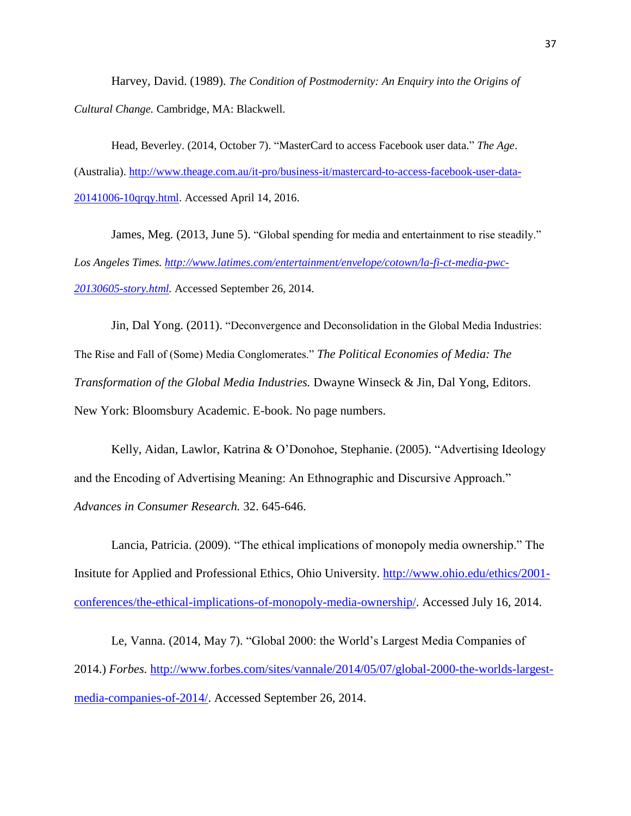Harvey, David. (1989). *The Condition of Postmodernity: An Enquiry into the Origins of Cultural Change.* Cambridge, MA: Blackwell.

Head, Beverley. (2014, October 7). "MasterCard to access Facebook user data." *The Age*. (Australia). [http://www.theage.com.au/it-pro/business-it/mastercard-to-access-facebook-user-data-](http://www.theage.com.au/it-pro/business-it/mastercard-to-access-facebook-user-data-20141006-10qrqy.html)[20141006-10qrqy.html.](http://www.theage.com.au/it-pro/business-it/mastercard-to-access-facebook-user-data-20141006-10qrqy.html) Accessed April 14, 2016.

James, Meg. (2013, June 5). "Global spending for media and entertainment to rise steadily." *Los Angeles Times. [http://www.latimes.com/entertainment/envelope/cotown/la-fi-ct-media-pwc-](http://www.latimes.com/entertainment/envelope/cotown/la-fi-ct-media-pwc-20130605-story.html)[20130605-story.html.](http://www.latimes.com/entertainment/envelope/cotown/la-fi-ct-media-pwc-20130605-story.html)* Accessed September 26, 2014.

Jin, Dal Yong. (2011). "Deconvergence and Deconsolidation in the Global Media Industries: The Rise and Fall of (Some) Media Conglomerates." *The Political Economies of Media: The Transformation of the Global Media Industries.* Dwayne Winseck & Jin, Dal Yong, Editors. New York: Bloomsbury Academic. E-book. No page numbers.

Kelly, Aidan, Lawlor, Katrina & O'Donohoe, Stephanie. (2005). "Advertising Ideology and the Encoding of Advertising Meaning: An Ethnographic and Discursive Approach." *Advances in Consumer Research.* 32. 645-646.

Lancia, Patricia. (2009). "The ethical implications of monopoly media ownership." The Insitute for Applied and Professional Ethics, Ohio University. [http://www.ohio.edu/ethics/2001](http://www.ohio.edu/ethics/2001-conferences/the-ethical-implications-of-monopoly-media-ownership/) [conferences/the-ethical-implications-of-monopoly-media-ownership/.](http://www.ohio.edu/ethics/2001-conferences/the-ethical-implications-of-monopoly-media-ownership/) Accessed July 16, 2014.

Le, Vanna. (2014, May 7). "Global 2000: the World's Largest Media Companies of 2014.) *Forbes.* [http://www.forbes.com/sites/vannale/2014/05/07/global-2000-the-worlds-largest](http://www.forbes.com/sites/vannale/2014/05/07/global-2000-the-worlds-largest-media-companies-of-2014/)[media-companies-of-2014/.](http://www.forbes.com/sites/vannale/2014/05/07/global-2000-the-worlds-largest-media-companies-of-2014/) Accessed September 26, 2014.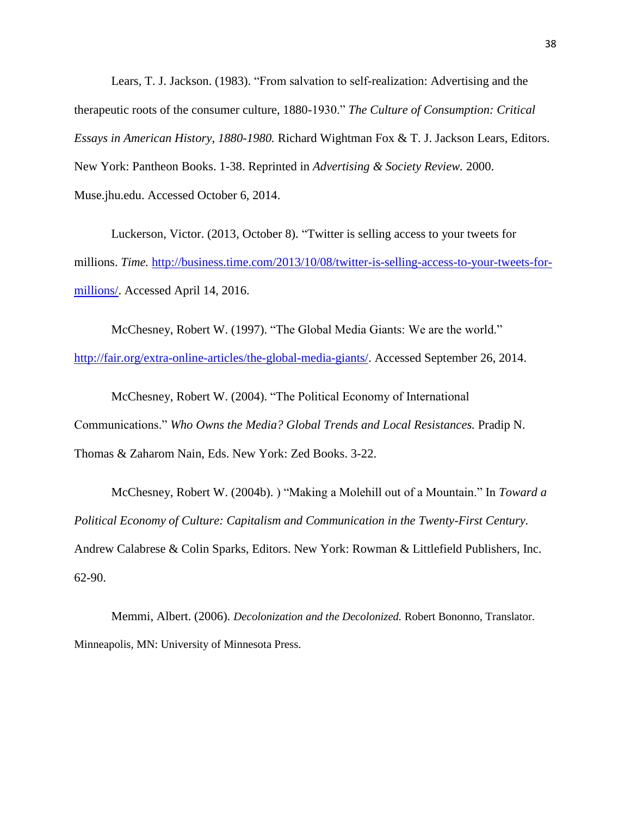Lears, T. J. Jackson. (1983). "From salvation to self-realization: Advertising and the therapeutic roots of the consumer culture, 1880-1930." *The Culture of Consumption: Critical Essays in American History, 1880-1980.* Richard Wightman Fox & T. J. Jackson Lears, Editors. New York: Pantheon Books. 1-38. Reprinted in *Advertising & Society Review.* 2000. Muse.jhu.edu. Accessed October 6, 2014.

Luckerson, Victor. (2013, October 8). "Twitter is selling access to your tweets for millions. *Time*. [http://business.time.com/2013/10/08/twitter-is-selling-access-to-your-tweets-for](http://business.time.com/2013/10/08/twitter-is-selling-access-to-your-tweets-for-millions/)[millions/.](http://business.time.com/2013/10/08/twitter-is-selling-access-to-your-tweets-for-millions/) Accessed April 14, 2016.

McChesney, Robert W. (1997). "The Global Media Giants: We are the world." [http://fair.org/extra-online-articles/the-global-media-giants/.](http://fair.org/extra-online-articles/the-global-media-giants/) Accessed September 26, 2014.

McChesney, Robert W. (2004). "The Political Economy of International Communications." *Who Owns the Media? Global Trends and Local Resistances.* Pradip N. Thomas & Zaharom Nain, Eds. New York: Zed Books. 3-22.

McChesney, Robert W. (2004b). ) "Making a Molehill out of a Mountain." In *Toward a Political Economy of Culture: Capitalism and Communication in the Twenty-First Century.* Andrew Calabrese & Colin Sparks, Editors. New York: Rowman & Littlefield Publishers, Inc. 62-90.

Memmi, Albert. (2006). *Decolonization and the Decolonized.* Robert Bononno, Translator. Minneapolis, MN: University of Minnesota Press.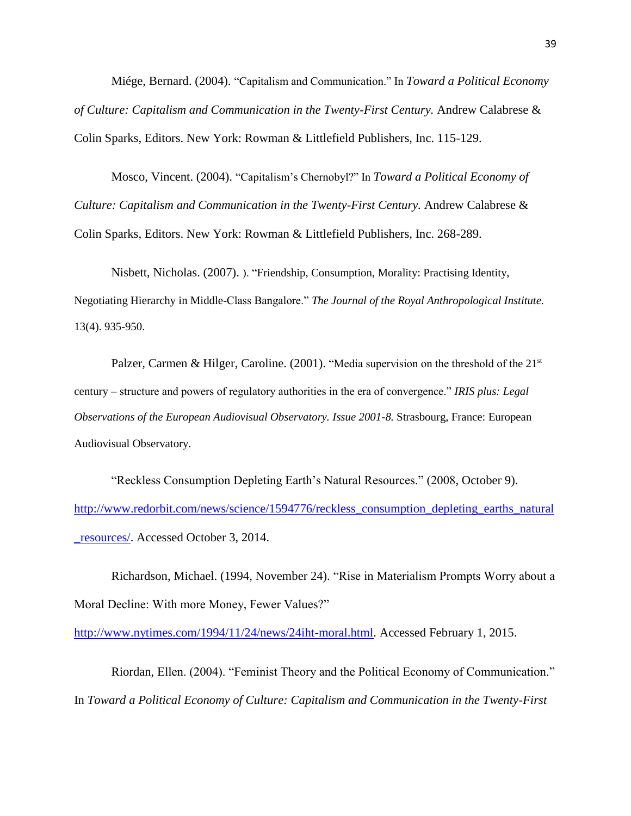Miége, Bernard. (2004). "Capitalism and Communication." In *Toward a Political Economy of Culture: Capitalism and Communication in the Twenty-First Century.* Andrew Calabrese & Colin Sparks, Editors. New York: Rowman & Littlefield Publishers, Inc. 115-129.

Mosco, Vincent. (2004). "Capitalism's Chernobyl?" In *Toward a Political Economy of Culture: Capitalism and Communication in the Twenty-First Century.* Andrew Calabrese & Colin Sparks, Editors. New York: Rowman & Littlefield Publishers, Inc. 268-289.

Nisbett, Nicholas. (2007). ). "Friendship, Consumption, Morality: Practising Identity, Negotiating Hierarchy in Middle-Class Bangalore." *The Journal of the Royal Anthropological Institute.* 13(4). 935-950.

Palzer, Carmen & Hilger, Caroline. (2001). "Media supervision on the threshold of the  $21<sup>st</sup>$ century – structure and powers of regulatory authorities in the era of convergence." *IRIS plus: Legal Observations of the European Audiovisual Observatory. Issue 2001-8.* Strasbourg, France: European Audiovisual Observatory.

"Reckless Consumption Depleting Earth's Natural Resources." (2008, October 9). [http://www.redorbit.com/news/science/1594776/reckless\\_consumption\\_depleting\\_earths\\_natural](http://www.redorbit.com/news/science/1594776/reckless_consumption_depleting_earths_natural_resources/) [\\_resources/.](http://www.redorbit.com/news/science/1594776/reckless_consumption_depleting_earths_natural_resources/) Accessed October 3, 2014.

Richardson, Michael. (1994, November 24). "Rise in Materialism Prompts Worry about a Moral Decline: With more Money, Fewer Values?"

[http://www.nytimes.com/1994/11/24/news/24iht-moral.html.](http://www.nytimes.com/1994/11/24/news/24iht-moral.html) Accessed February 1, 2015.

Riordan, Ellen. (2004). "Feminist Theory and the Political Economy of Communication." In *Toward a Political Economy of Culture: Capitalism and Communication in the Twenty-First*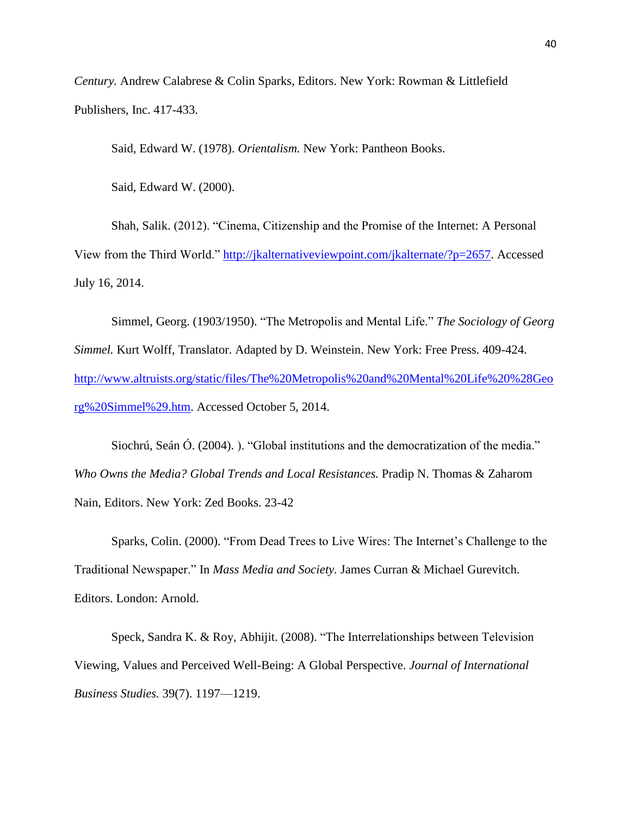*Century.* Andrew Calabrese & Colin Sparks, Editors. New York: Rowman & Littlefield Publishers, Inc. 417-433.

Said, Edward W. (1978). *Orientalism.* New York: Pantheon Books.

Said, Edward W. (2000).

Shah, Salik. (2012). "Cinema, Citizenship and the Promise of the Internet: A Personal View from the Third World." [http://jkalternativeviewpoint.com/jkalternate/?p=2657.](http://jkalternativeviewpoint.com/jkalternate/?p=2657) Accessed July 16, 2014.

Simmel, Georg. (1903/1950). "The Metropolis and Mental Life." *The Sociology of Georg Simmel.* Kurt Wolff, Translator. Adapted by D. Weinstein. New York: Free Press. 409-424. [http://www.altruists.org/static/files/The%20Metropolis%20and%20Mental%20Life%20%28Geo](http://www.altruists.org/static/files/The%20Metropolis%20and%20Mental%20Life%20%28Georg%20Simmel%29.htm) [rg%20Simmel%29.htm.](http://www.altruists.org/static/files/The%20Metropolis%20and%20Mental%20Life%20%28Georg%20Simmel%29.htm) Accessed October 5, 2014.

Siochrú, Seán Ó. (2004). ). "Global institutions and the democratization of the media." *Who Owns the Media? Global Trends and Local Resistances.* Pradip N. Thomas & Zaharom Nain, Editors. New York: Zed Books. 23-42

Sparks, Colin. (2000). "From Dead Trees to Live Wires: The Internet's Challenge to the Traditional Newspaper." In *Mass Media and Society.* James Curran & Michael Gurevitch. Editors. London: Arnold.

Speck, Sandra K. & Roy, Abhijit. (2008). "The Interrelationships between Television Viewing, Values and Perceived Well-Being: A Global Perspective. *Journal of International Business Studies.* 39(7). 1197—1219.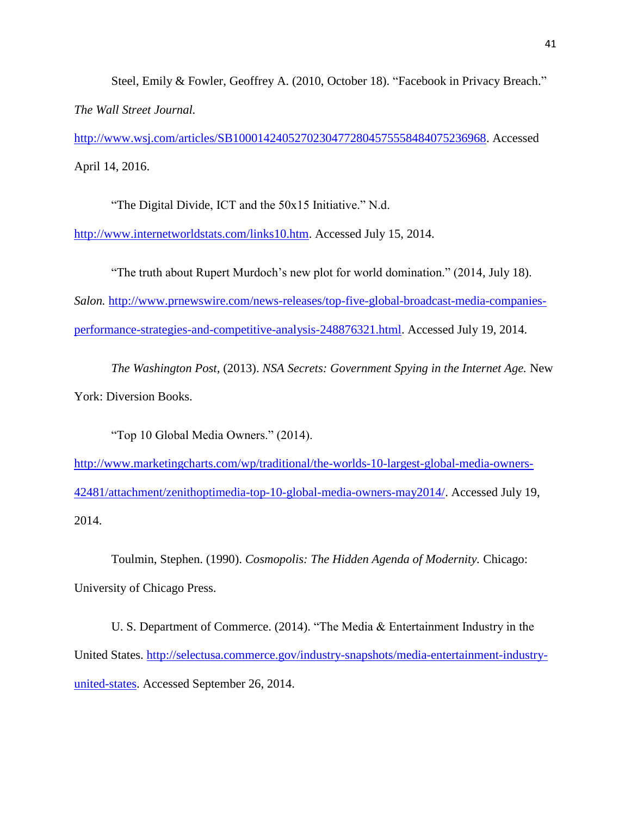Steel, Emily & Fowler, Geoffrey A. (2010, October 18). "Facebook in Privacy Breach." *The Wall Street Journal.*

[http://www.wsj.com/articles/SB10001424052702304772804575558484075236968.](http://www.wsj.com/articles/SB10001424052702304772804575558484075236968) Accessed April 14, 2016.

"The Digital Divide, ICT and the 50x15 Initiative." N.d.

[http://www.internetworldstats.com/links10.htm.](http://www.internetworldstats.com/links10.htm) Accessed July 15, 2014.

"The truth about Rupert Murdoch's new plot for world domination." (2014, July 18).

*Salon.* [http://www.prnewswire.com/news-releases/top-five-global-broadcast-media-companies](http://www.prnewswire.com/news-releases/top-five-global-broadcast-media-companies-performance-strategies-and-competitive-analysis-248876321.html)[performance-strategies-and-competitive-analysis-248876321.html.](http://www.prnewswire.com/news-releases/top-five-global-broadcast-media-companies-performance-strategies-and-competitive-analysis-248876321.html) Accessed July 19, 2014.

*The Washington Post,* (2013). *NSA Secrets: Government Spying in the Internet Age.* New York: Diversion Books.

"Top 10 Global Media Owners." (2014).

[http://www.marketingcharts.com/wp/traditional/the-worlds-10-largest-global-media-owners-](http://www.marketingcharts.com/wp/traditional/the-worlds-10-largest-global-media-owners-42481/attachment/zenithoptimedia-top-10-global-media-owners-may2014/)[42481/attachment/zenithoptimedia-top-10-global-media-owners-may2014/.](http://www.marketingcharts.com/wp/traditional/the-worlds-10-largest-global-media-owners-42481/attachment/zenithoptimedia-top-10-global-media-owners-may2014/) Accessed July 19, 2014.

Toulmin, Stephen. (1990). *Cosmopolis: The Hidden Agenda of Modernity.* Chicago: University of Chicago Press.

U. S. Department of Commerce. (2014). "The Media & Entertainment Industry in the United States. [http://selectusa.commerce.gov/industry-snapshots/media-entertainment-industry](http://selectusa.commerce.gov/industry-snapshots/media-entertainment-industry-united-states)[united-states.](http://selectusa.commerce.gov/industry-snapshots/media-entertainment-industry-united-states) Accessed September 26, 2014.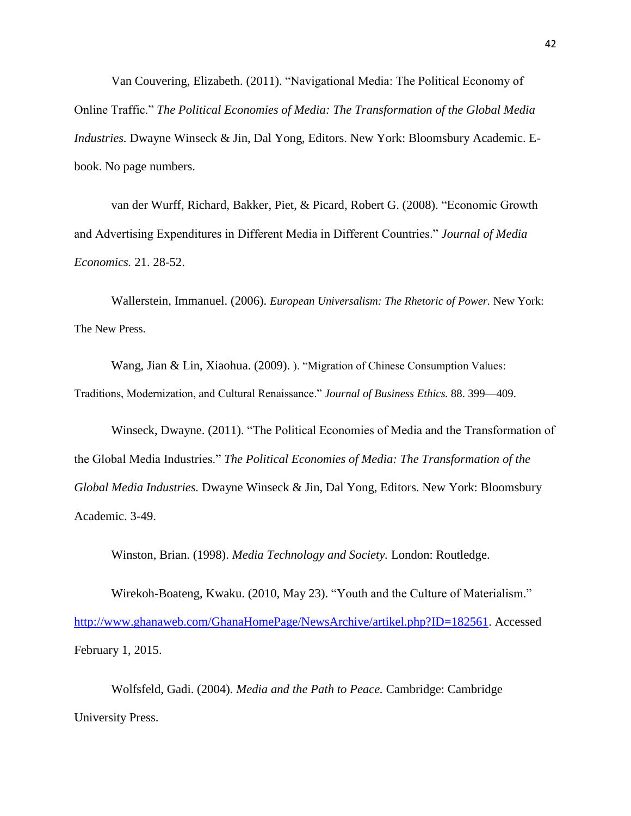Van Couvering, Elizabeth. (2011). "Navigational Media: The Political Economy of Online Traffic." *The Political Economies of Media: The Transformation of the Global Media Industries.* Dwayne Winseck & Jin, Dal Yong, Editors. New York: Bloomsbury Academic. Ebook. No page numbers.

van der Wurff, Richard, Bakker, Piet, & Picard, Robert G. (2008). "Economic Growth and Advertising Expenditures in Different Media in Different Countries." *Journal of Media Economics.* 21. 28-52.

Wallerstein, Immanuel. (2006). *European Universalism: The Rhetoric of Power.* New York: The New Press.

Wang, Jian & Lin, Xiaohua. (2009). ). "Migration of Chinese Consumption Values: Traditions, Modernization, and Cultural Renaissance." *Journal of Business Ethics.* 88. 399—409.

Winseck, Dwayne. (2011). "The Political Economies of Media and the Transformation of the Global Media Industries." *The Political Economies of Media: The Transformation of the Global Media Industries.* Dwayne Winseck & Jin, Dal Yong, Editors. New York: Bloomsbury Academic. 3-49.

Winston, Brian. (1998). *Media Technology and Society.* London: Routledge.

Wirekoh-Boateng, Kwaku. (2010, May 23). "Youth and the Culture of Materialism." [http://www.ghanaweb.com/GhanaHomePage/NewsArchive/artikel.php?ID=182561.](http://www.ghanaweb.com/GhanaHomePage/NewsArchive/artikel.php?ID=182561) Accessed February 1, 2015.

Wolfsfeld, Gadi. (2004). *Media and the Path to Peace.* Cambridge: Cambridge University Press.